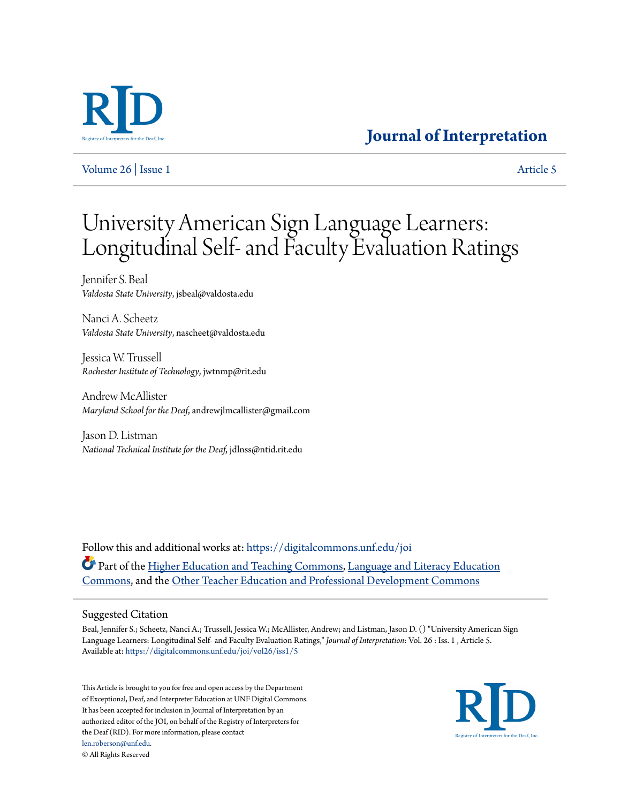

[Volume 26](https://digitalcommons.unf.edu/joi/vol26?utm_source=digitalcommons.unf.edu%2Fjoi%2Fvol26%2Fiss1%2F5&utm_medium=PDF&utm_campaign=PDFCoverPages) | [Issue 1](https://digitalcommons.unf.edu/joi/vol26/iss1?utm_source=digitalcommons.unf.edu%2Fjoi%2Fvol26%2Fiss1%2F5&utm_medium=PDF&utm_campaign=PDFCoverPages) [Article 5](https://digitalcommons.unf.edu/joi/vol26/iss1/5?utm_source=digitalcommons.unf.edu%2Fjoi%2Fvol26%2Fiss1%2F5&utm_medium=PDF&utm_campaign=PDFCoverPages)

## **[Journal of Interpretation](https://digitalcommons.unf.edu/joi?utm_source=digitalcommons.unf.edu%2Fjoi%2Fvol26%2Fiss1%2F5&utm_medium=PDF&utm_campaign=PDFCoverPages)**

# University American Sign Language Learners: Longitudinal Self- and Faculty Evaluation Ratings

Jennifer S. Beal *Valdosta State University*, jsbeal@valdosta.edu

Nanci A. Scheetz *Valdosta State University*, nascheet@valdosta.edu

Jessica W. Trussell *Rochester Institute of Technology*, jwtnmp@rit.edu

Andrew McAllister *Maryland School for the Deaf*, andrewjlmcallister@gmail.com

Jason D. Listman *National Technical Institute for the Deaf*, jdlnss@ntid.rit.edu

Follow this and additional works at: [https://digitalcommons.unf.edu/joi](https://digitalcommons.unf.edu/joi?utm_source=digitalcommons.unf.edu%2Fjoi%2Fvol26%2Fiss1%2F5&utm_medium=PDF&utm_campaign=PDFCoverPages) **C** Part of the [Higher Education and Teaching Commons](http://network.bepress.com/hgg/discipline/806?utm_source=digitalcommons.unf.edu%2Fjoi%2Fvol26%2Fiss1%2F5&utm_medium=PDF&utm_campaign=PDFCoverPages), [Language and Literacy Education](http://network.bepress.com/hgg/discipline/1380?utm_source=digitalcommons.unf.edu%2Fjoi%2Fvol26%2Fiss1%2F5&utm_medium=PDF&utm_campaign=PDFCoverPages) [Commons,](http://network.bepress.com/hgg/discipline/1380?utm_source=digitalcommons.unf.edu%2Fjoi%2Fvol26%2Fiss1%2F5&utm_medium=PDF&utm_campaign=PDFCoverPages) and the [Other Teacher Education and Professional Development Commons](http://network.bepress.com/hgg/discipline/810?utm_source=digitalcommons.unf.edu%2Fjoi%2Fvol26%2Fiss1%2F5&utm_medium=PDF&utm_campaign=PDFCoverPages)

#### Suggested Citation

Beal, Jennifer S.; Scheetz, Nanci A.; Trussell, Jessica W.; McAllister, Andrew; and Listman, Jason D. () "University American Sign Language Learners: Longitudinal Self- and Faculty Evaluation Ratings," *Journal of Interpretation*: Vol. 26 : Iss. 1 , Article 5. Available at: [https://digitalcommons.unf.edu/joi/vol26/iss1/5](https://digitalcommons.unf.edu/joi/vol26/iss1/5?utm_source=digitalcommons.unf.edu%2Fjoi%2Fvol26%2Fiss1%2F5&utm_medium=PDF&utm_campaign=PDFCoverPages)

This Article is brought to you for free and open access by the Department of Exceptional, Deaf, and Interpreter Education at UNF Digital Commons. It has been accepted for inclusion in Journal of Interpretation by an authorized editor of the JOI, on behalf of the Registry of Interpreters for the Deaf (RID). For more information, please contact [len.roberson@unf.edu.](mailto:len.roberson@unf.edu) © All Rights Reserved

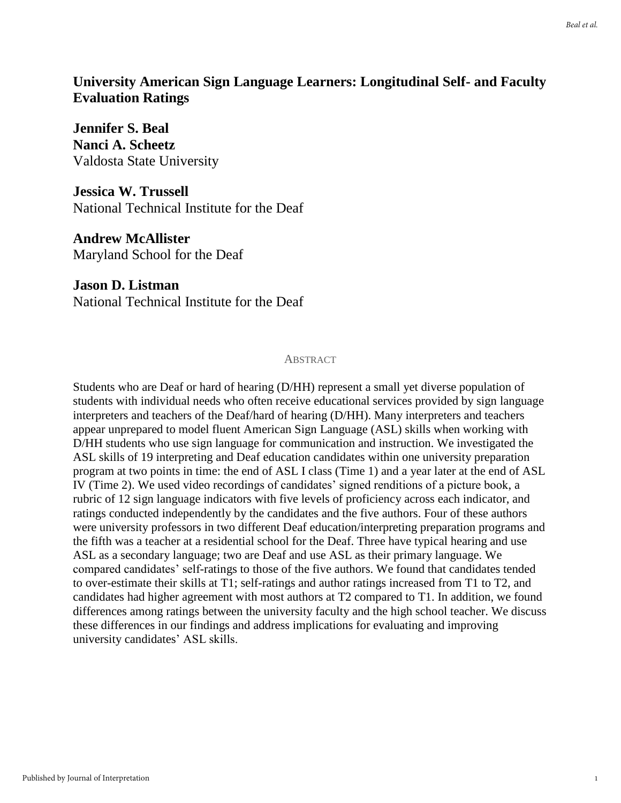## **University American Sign Language Learners: Longitudinal Self- and Faculty Evaluation Ratings**

**Jennifer S. Beal Nanci A. Scheetz** Valdosta State University

**Jessica W. Trussell** National Technical Institute for the Deaf

**Andrew McAllister** Maryland School for the Deaf

**Jason D. Listman** National Technical Institute for the Deaf

#### **ABSTRACT**

Students who are Deaf or hard of hearing (D/HH) represent a small yet diverse population of students with individual needs who often receive educational services provided by sign language interpreters and teachers of the Deaf/hard of hearing (D/HH). Many interpreters and teachers appear unprepared to model fluent American Sign Language (ASL) skills when working with D/HH students who use sign language for communication and instruction. We investigated the ASL skills of 19 interpreting and Deaf education candidates within one university preparation program at two points in time: the end of ASL I class (Time 1) and a year later at the end of ASL IV (Time 2). We used video recordings of candidates' signed renditions of a picture book, a rubric of 12 sign language indicators with five levels of proficiency across each indicator, and ratings conducted independently by the candidates and the five authors. Four of these authors were university professors in two different Deaf education/interpreting preparation programs and the fifth was a teacher at a residential school for the Deaf. Three have typical hearing and use ASL as a secondary language; two are Deaf and use ASL as their primary language. We compared candidates' self-ratings to those of the five authors. We found that candidates tended to over-estimate their skills at T1; self-ratings and author ratings increased from T1 to T2, and candidates had higher agreement with most authors at T2 compared to T1. In addition, we found differences among ratings between the university faculty and the high school teacher. We discuss these differences in our findings and address implications for evaluating and improving university candidates' ASL skills.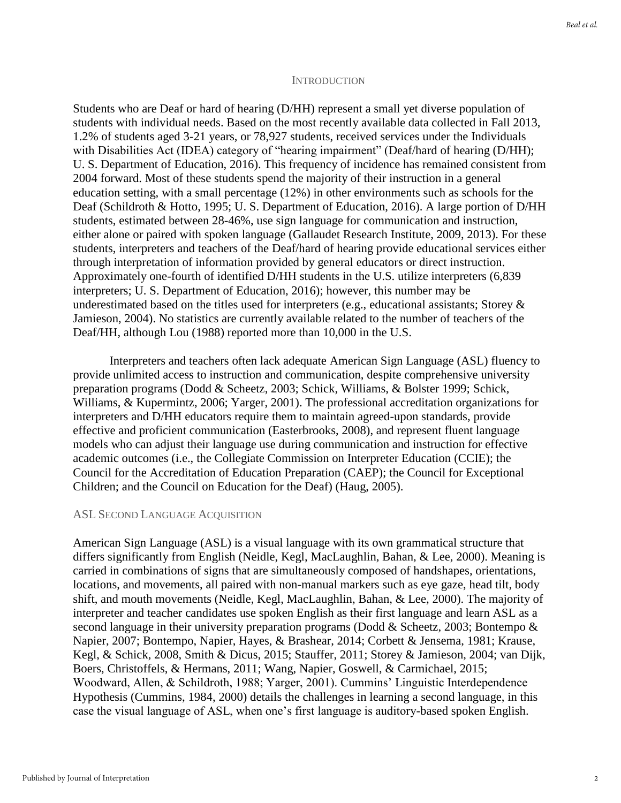#### **INTRODUCTION**

Students who are Deaf or hard of hearing (D/HH) represent a small yet diverse population of students with individual needs. Based on the most recently available data collected in Fall 2013, 1.2% of students aged 3-21 years, or 78,927 students, received services under the Individuals with Disabilities Act (IDEA) category of "hearing impairment" (Deaf/hard of hearing (D/HH); U. S. Department of Education, 2016). This frequency of incidence has remained consistent from 2004 forward. Most of these students spend the majority of their instruction in a general education setting, with a small percentage (12%) in other environments such as schools for the Deaf (Schildroth & Hotto, 1995; U. S. Department of Education, 2016). A large portion of D/HH students, estimated between 28-46%, use sign language for communication and instruction, either alone or paired with spoken language (Gallaudet Research Institute, 2009, 2013). For these students, interpreters and teachers of the Deaf/hard of hearing provide educational services either through interpretation of information provided by general educators or direct instruction. Approximately one-fourth of identified D/HH students in the U.S. utilize interpreters (6,839 interpreters; U. S. Department of Education, 2016); however, this number may be underestimated based on the titles used for interpreters (e.g., educational assistants; Storey & Jamieson, 2004). No statistics are currently available related to the number of teachers of the Deaf/HH, although Lou (1988) reported more than 10,000 in the U.S.

Interpreters and teachers often lack adequate American Sign Language (ASL) fluency to provide unlimited access to instruction and communication, despite comprehensive university preparation programs (Dodd & Scheetz, 2003; Schick, Williams, & Bolster 1999; Schick, Williams, & Kupermintz, 2006; Yarger, 2001). The professional accreditation organizations for interpreters and D/HH educators require them to maintain agreed-upon standards, provide effective and proficient communication (Easterbrooks, 2008), and represent fluent language models who can adjust their language use during communication and instruction for effective academic outcomes (i.e., the Collegiate Commission on Interpreter Education (CCIE); the Council for the Accreditation of Education Preparation (CAEP); the Council for Exceptional Children; and the Council on Education for the Deaf) (Haug, 2005).

#### ASL SECOND LANGUAGE ACQUISITION

American Sign Language (ASL) is a visual language with its own grammatical structure that differs significantly from English (Neidle, Kegl, MacLaughlin, Bahan, & Lee, 2000). Meaning is carried in combinations of signs that are simultaneously composed of handshapes, orientations, locations, and movements, all paired with non-manual markers such as eye gaze, head tilt, body shift, and mouth movements (Neidle, Kegl, MacLaughlin, Bahan, & Lee, 2000). The majority of interpreter and teacher candidates use spoken English as their first language and learn ASL as a second language in their university preparation programs (Dodd & Scheetz, 2003; Bontempo & Napier, 2007; Bontempo, Napier, Hayes, & Brashear, 2014; Corbett & Jensema, 1981; Krause, Kegl, & Schick, 2008, Smith & Dicus, 2015; Stauffer, 2011; Storey & Jamieson, 2004; van Dijk, Boers, Christoffels, & Hermans, 2011; Wang, Napier, Goswell, & Carmichael, 2015; Woodward, Allen, & Schildroth, 1988; Yarger, 2001). Cummins' Linguistic Interdependence Hypothesis (Cummins, 1984, 2000) details the challenges in learning a second language, in this case the visual language of ASL, when one's first language is auditory-based spoken English.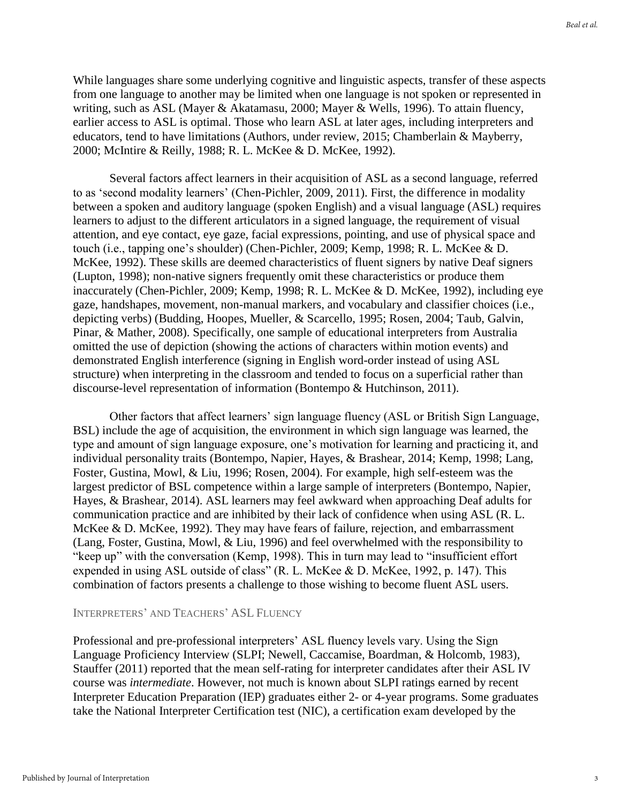While languages share some underlying cognitive and linguistic aspects, transfer of these aspects from one language to another may be limited when one language is not spoken or represented in writing, such as ASL (Mayer & Akatamasu, 2000; Mayer & Wells, 1996). To attain fluency, earlier access to ASL is optimal. Those who learn ASL at later ages, including interpreters and educators, tend to have limitations (Authors, under review, 2015; Chamberlain & Mayberry, 2000; McIntire & Reilly, 1988; R. L. McKee & D. McKee, 1992).

Several factors affect learners in their acquisition of ASL as a second language, referred to as 'second modality learners' (Chen-Pichler, 2009, 2011). First, the difference in modality between a spoken and auditory language (spoken English) and a visual language (ASL) requires learners to adjust to the different articulators in a signed language, the requirement of visual attention, and eye contact, eye gaze, facial expressions, pointing, and use of physical space and touch (i.e., tapping one's shoulder) (Chen-Pichler, 2009; Kemp, 1998; R. L. McKee & D. McKee, 1992). These skills are deemed characteristics of fluent signers by native Deaf signers (Lupton, 1998); non-native signers frequently omit these characteristics or produce them inaccurately (Chen-Pichler, 2009; Kemp, 1998; R. L. McKee & D. McKee, 1992), including eye gaze, handshapes, movement, non-manual markers, and vocabulary and classifier choices (i.e., depicting verbs) (Budding, Hoopes, Mueller, & Scarcello, 1995; Rosen, 2004; Taub, Galvin, Pinar, & Mather, 2008). Specifically, one sample of educational interpreters from Australia omitted the use of depiction (showing the actions of characters within motion events) and demonstrated English interference (signing in English word-order instead of using ASL structure) when interpreting in the classroom and tended to focus on a superficial rather than discourse-level representation of information (Bontempo & Hutchinson, 2011).

Other factors that affect learners' sign language fluency (ASL or British Sign Language, BSL) include the age of acquisition, the environment in which sign language was learned, the type and amount of sign language exposure, one's motivation for learning and practicing it, and individual personality traits (Bontempo, Napier, Hayes, & Brashear, 2014; Kemp, 1998; Lang, Foster, Gustina, Mowl, & Liu, 1996; Rosen, 2004). For example, high self-esteem was the largest predictor of BSL competence within a large sample of interpreters (Bontempo, Napier, Hayes, & Brashear, 2014). ASL learners may feel awkward when approaching Deaf adults for communication practice and are inhibited by their lack of confidence when using ASL (R. L. McKee & D. McKee, 1992). They may have fears of failure, rejection, and embarrassment (Lang, Foster, Gustina, Mowl, & Liu, 1996) and feel overwhelmed with the responsibility to "keep up" with the conversation (Kemp, 1998). This in turn may lead to "insufficient effort expended in using ASL outside of class" (R. L. McKee & D. McKee, 1992, p. 147). This combination of factors presents a challenge to those wishing to become fluent ASL users.

#### INTERPRETERS' AND TEACHERS' ASL FLUENCY

Professional and pre-professional interpreters' ASL fluency levels vary. Using the Sign Language Proficiency Interview (SLPI; Newell, Caccamise, Boardman, & Holcomb, 1983), Stauffer (2011) reported that the mean self-rating for interpreter candidates after their ASL IV course was *intermediate*. However, not much is known about SLPI ratings earned by recent Interpreter Education Preparation (IEP) graduates either 2- or 4-year programs. Some graduates take the National Interpreter Certification test (NIC), a certification exam developed by the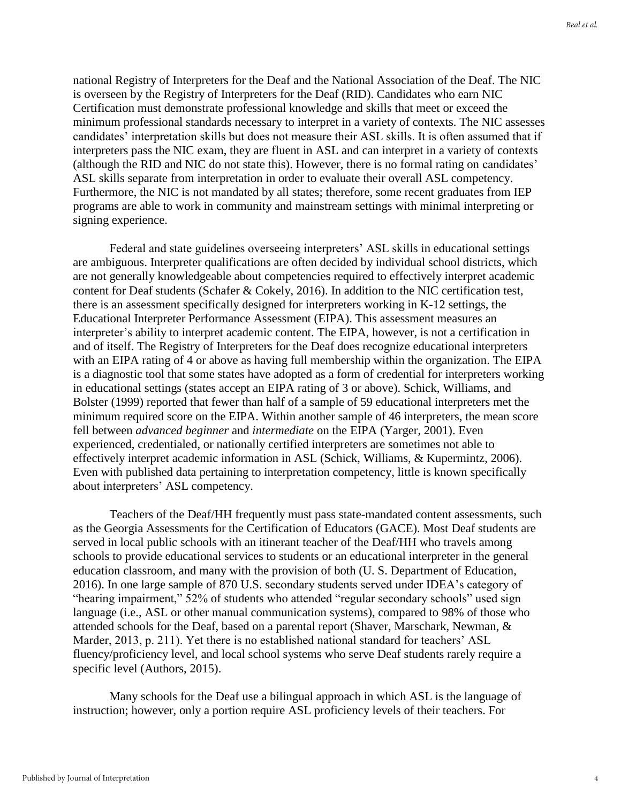national Registry of Interpreters for the Deaf and the National Association of the Deaf. The NIC is overseen by the Registry of Interpreters for the Deaf (RID). Candidates who earn NIC Certification must demonstrate professional knowledge and skills that meet or exceed the minimum professional standards necessary to interpret in a variety of contexts. The NIC assesses candidates' interpretation skills but does not measure their ASL skills. It is often assumed that if interpreters pass the NIC exam, they are fluent in ASL and can interpret in a variety of contexts (although the RID and NIC do not state this). However, there is no formal rating on candidates' ASL skills separate from interpretation in order to evaluate their overall ASL competency. Furthermore, the NIC is not mandated by all states; therefore, some recent graduates from IEP programs are able to work in community and mainstream settings with minimal interpreting or signing experience.

Federal and state guidelines overseeing interpreters' ASL skills in educational settings are ambiguous. Interpreter qualifications are often decided by individual school districts, which are not generally knowledgeable about competencies required to effectively interpret academic content for Deaf students (Schafer & Cokely, 2016). In addition to the NIC certification test, there is an assessment specifically designed for interpreters working in K-12 settings, the Educational Interpreter Performance Assessment (EIPA). This assessment measures an interpreter's ability to interpret academic content. The EIPA, however, is not a certification in and of itself. The Registry of Interpreters for the Deaf does recognize educational interpreters with an EIPA rating of 4 or above as having full membership within the organization. The EIPA is a diagnostic tool that some states have adopted as a form of credential for interpreters working in educational settings (states accept an EIPA rating of 3 or above). Schick, Williams, and Bolster (1999) reported that fewer than half of a sample of 59 educational interpreters met the minimum required score on the EIPA. Within another sample of 46 interpreters, the mean score fell between *advanced beginner* and *intermediate* on the EIPA (Yarger, 2001). Even experienced, credentialed, or nationally certified interpreters are sometimes not able to effectively interpret academic information in ASL (Schick, Williams, & Kupermintz, 2006). Even with published data pertaining to interpretation competency, little is known specifically about interpreters' ASL competency.

Teachers of the Deaf/HH frequently must pass state-mandated content assessments, such as the Georgia Assessments for the Certification of Educators (GACE). Most Deaf students are served in local public schools with an itinerant teacher of the Deaf/HH who travels among schools to provide educational services to students or an educational interpreter in the general education classroom, and many with the provision of both (U. S. Department of Education, 2016). In one large sample of 870 U.S. secondary students served under IDEA's category of "hearing impairment," 52% of students who attended "regular secondary schools" used sign language (i.e., ASL or other manual communication systems), compared to 98% of those who attended schools for the Deaf, based on a parental report (Shaver, Marschark, Newman, & Marder, 2013, p. 211). Yet there is no established national standard for teachers' ASL fluency/proficiency level, and local school systems who serve Deaf students rarely require a specific level (Authors, 2015).

Many schools for the Deaf use a bilingual approach in which ASL is the language of instruction; however, only a portion require ASL proficiency levels of their teachers. For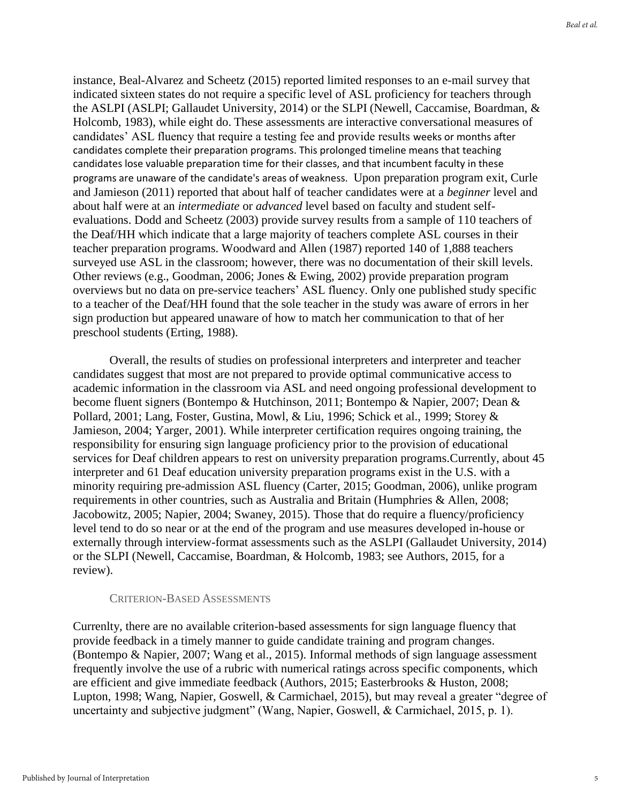instance, Beal-Alvarez and Scheetz (2015) reported limited responses to an e-mail survey that indicated sixteen states do not require a specific level of ASL proficiency for teachers through the ASLPI (ASLPI; Gallaudet University, 2014) or the SLPI (Newell, Caccamise, Boardman, & Holcomb, 1983), while eight do. These assessments are interactive conversational measures of candidates' ASL fluency that require a testing fee and provide results weeks or months after candidates complete their preparation programs. This prolonged timeline means that teaching candidates lose valuable preparation time for their classes, and that incumbent faculty in these programs are unaware of the candidate's areas of weakness. Upon preparation program exit, Curle and Jamieson (2011) reported that about half of teacher candidates were at a *beginner* level and about half were at an *intermediate* or *advanced* level based on faculty and student selfevaluations. Dodd and Scheetz (2003) provide survey results from a sample of 110 teachers of the Deaf/HH which indicate that a large majority of teachers complete ASL courses in their teacher preparation programs. Woodward and Allen (1987) reported 140 of 1,888 teachers surveyed use ASL in the classroom; however, there was no documentation of their skill levels. Other reviews (e.g., Goodman, 2006; Jones & Ewing, 2002) provide preparation program overviews but no data on pre-service teachers' ASL fluency. Only one published study specific to a teacher of the Deaf/HH found that the sole teacher in the study was aware of errors in her sign production but appeared unaware of how to match her communication to that of her preschool students (Erting, 1988).

Overall, the results of studies on professional interpreters and interpreter and teacher candidates suggest that most are not prepared to provide optimal communicative access to academic information in the classroom via ASL and need ongoing professional development to become fluent signers (Bontempo & Hutchinson, 2011; Bontempo & Napier, 2007; Dean & Pollard, 2001; Lang, Foster, Gustina, Mowl, & Liu, 1996; Schick et al., 1999; Storey & Jamieson, 2004; Yarger, 2001). While interpreter certification requires ongoing training, the responsibility for ensuring sign language proficiency prior to the provision of educational services for Deaf children appears to rest on university preparation programs.Currently, about 45 interpreter and 61 Deaf education university preparation programs exist in the U.S. with a minority requiring pre-admission ASL fluency (Carter, 2015; Goodman, 2006), unlike program requirements in other countries, such as Australia and Britain (Humphries & Allen, 2008; Jacobowitz, 2005; Napier, 2004; Swaney, 2015). Those that do require a fluency/proficiency level tend to do so near or at the end of the program and use measures developed in-house or externally through interview-format assessments such as the ASLPI (Gallaudet University, 2014) or the SLPI (Newell, Caccamise, Boardman, & Holcomb, 1983; see Authors, 2015, for a review).

#### CRITERION-BASED ASSESSMENTS

Currenlty, there are no available criterion-based assessments for sign language fluency that provide feedback in a timely manner to guide candidate training and program changes. (Bontempo & Napier, 2007; Wang et al., 2015). Informal methods of sign language assessment frequently involve the use of a rubric with numerical ratings across specific components, which are efficient and give immediate feedback (Authors, 2015; Easterbrooks & Huston, 2008; Lupton, 1998; Wang, Napier, Goswell, & Carmichael, 2015), but may reveal a greater "degree of uncertainty and subjective judgment" (Wang, Napier, Goswell, & Carmichael, 2015, p. 1).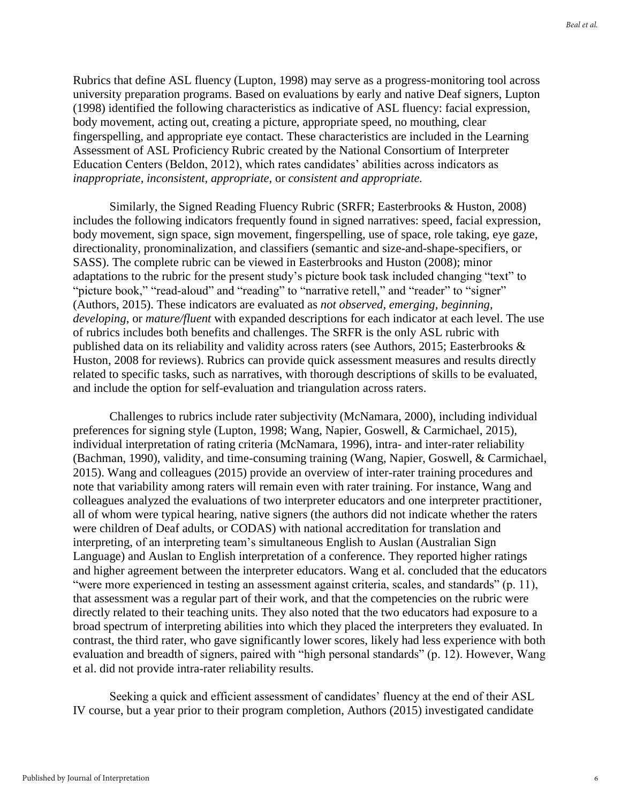Rubrics that define ASL fluency (Lupton, 1998) may serve as a progress-monitoring tool across university preparation programs. Based on evaluations by early and native Deaf signers, Lupton (1998) identified the following characteristics as indicative of ASL fluency: facial expression, body movement, acting out, creating a picture, appropriate speed, no mouthing, clear fingerspelling, and appropriate eye contact. These characteristics are included in the Learning Assessment of ASL Proficiency Rubric created by the National Consortium of Interpreter Education Centers (Beldon, 2012), which rates candidates' abilities across indicators as *inappropriate, inconsistent, appropriate,* or *consistent and appropriate.* 

Similarly, the Signed Reading Fluency Rubric (SRFR; Easterbrooks & Huston, 2008) includes the following indicators frequently found in signed narratives: speed, facial expression, body movement, sign space, sign movement, fingerspelling, use of space, role taking, eye gaze, directionality, pronominalization, and classifiers (semantic and size-and-shape-specifiers, or SASS). The complete rubric can be viewed in Easterbrooks and Huston (2008); minor adaptations to the rubric for the present study's picture book task included changing "text" to "picture book," "read-aloud" and "reading" to "narrative retell," and "reader" to "signer" (Authors, 2015). These indicators are evaluated as *not observed*, *emerging, beginning, developing*, or *mature/fluent* with expanded descriptions for each indicator at each level. The use of rubrics includes both benefits and challenges. The SRFR is the only ASL rubric with published data on its reliability and validity across raters (see Authors, 2015; Easterbrooks & Huston, 2008 for reviews). Rubrics can provide quick assessment measures and results directly related to specific tasks, such as narratives, with thorough descriptions of skills to be evaluated, and include the option for self-evaluation and triangulation across raters.

Challenges to rubrics include rater subjectivity (McNamara, 2000), including individual preferences for signing style (Lupton, 1998; Wang, Napier, Goswell, & Carmichael, 2015), individual interpretation of rating criteria (McNamara, 1996), intra- and inter-rater reliability (Bachman, 1990), validity, and time-consuming training (Wang, Napier, Goswell, & Carmichael, 2015). Wang and colleagues (2015) provide an overview of inter-rater training procedures and note that variability among raters will remain even with rater training. For instance, Wang and colleagues analyzed the evaluations of two interpreter educators and one interpreter practitioner, all of whom were typical hearing, native signers (the authors did not indicate whether the raters were children of Deaf adults, or CODAS) with national accreditation for translation and interpreting, of an interpreting team's simultaneous English to Auslan (Australian Sign Language) and Auslan to English interpretation of a conference. They reported higher ratings and higher agreement between the interpreter educators. Wang et al. concluded that the educators "were more experienced in testing an assessment against criteria, scales, and standards" (p. 11), that assessment was a regular part of their work, and that the competencies on the rubric were directly related to their teaching units. They also noted that the two educators had exposure to a broad spectrum of interpreting abilities into which they placed the interpreters they evaluated. In contrast, the third rater, who gave significantly lower scores, likely had less experience with both evaluation and breadth of signers, paired with "high personal standards" (p. 12). However, Wang et al. did not provide intra-rater reliability results.

Seeking a quick and efficient assessment of candidates' fluency at the end of their ASL IV course, but a year prior to their program completion, Authors (2015) investigated candidate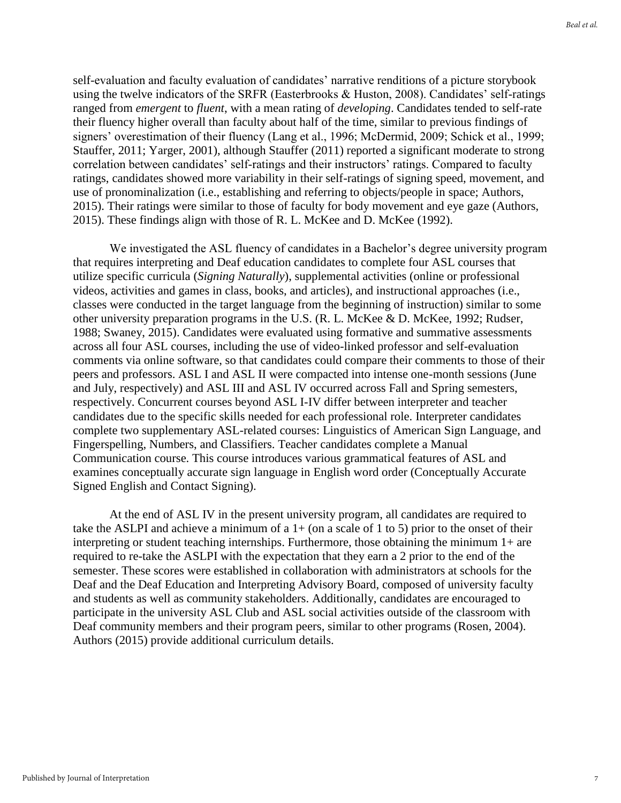self-evaluation and faculty evaluation of candidates' narrative renditions of a picture storybook using the twelve indicators of the SRFR (Easterbrooks & Huston, 2008). Candidates' self-ratings ranged from *emergent* to *fluent*, with a mean rating of *developing*. Candidates tended to self-rate their fluency higher overall than faculty about half of the time, similar to previous findings of signers' overestimation of their fluency (Lang et al., 1996; McDermid, 2009; Schick et al., 1999; Stauffer, 2011; Yarger, 2001), although Stauffer (2011) reported a significant moderate to strong correlation between candidates' self-ratings and their instructors' ratings. Compared to faculty ratings, candidates showed more variability in their self-ratings of signing speed, movement, and use of pronominalization (i.e., establishing and referring to objects/people in space; Authors, 2015). Their ratings were similar to those of faculty for body movement and eye gaze (Authors, 2015). These findings align with those of R. L. McKee and D. McKee (1992).

We investigated the ASL fluency of candidates in a Bachelor's degree university program that requires interpreting and Deaf education candidates to complete four ASL courses that utilize specific curricula (*Signing Naturally*), supplemental activities (online or professional videos, activities and games in class, books, and articles), and instructional approaches (i.e., classes were conducted in the target language from the beginning of instruction) similar to some other university preparation programs in the U.S. (R. L. McKee & D. McKee, 1992; Rudser, 1988; Swaney, 2015). Candidates were evaluated using formative and summative assessments across all four ASL courses, including the use of video-linked professor and self-evaluation comments via online software, so that candidates could compare their comments to those of their peers and professors. ASL I and ASL II were compacted into intense one-month sessions (June and July, respectively) and ASL III and ASL IV occurred across Fall and Spring semesters, respectively. Concurrent courses beyond ASL I-IV differ between interpreter and teacher candidates due to the specific skills needed for each professional role. Interpreter candidates complete two supplementary ASL-related courses: Linguistics of American Sign Language, and Fingerspelling, Numbers, and Classifiers. Teacher candidates complete a Manual Communication course. This course introduces various grammatical features of ASL and examines conceptually accurate sign language in English word order (Conceptually Accurate Signed English and Contact Signing).

At the end of ASL IV in the present university program, all candidates are required to take the ASLPI and achieve a minimum of a  $1+$  (on a scale of 1 to 5) prior to the onset of their interpreting or student teaching internships. Furthermore, those obtaining the minimum 1+ are required to re-take the ASLPI with the expectation that they earn a 2 prior to the end of the semester. These scores were established in collaboration with administrators at schools for the Deaf and the Deaf Education and Interpreting Advisory Board, composed of university faculty and students as well as community stakeholders. Additionally, candidates are encouraged to participate in the university ASL Club and ASL social activities outside of the classroom with Deaf community members and their program peers, similar to other programs (Rosen, 2004). Authors (2015) provide additional curriculum details.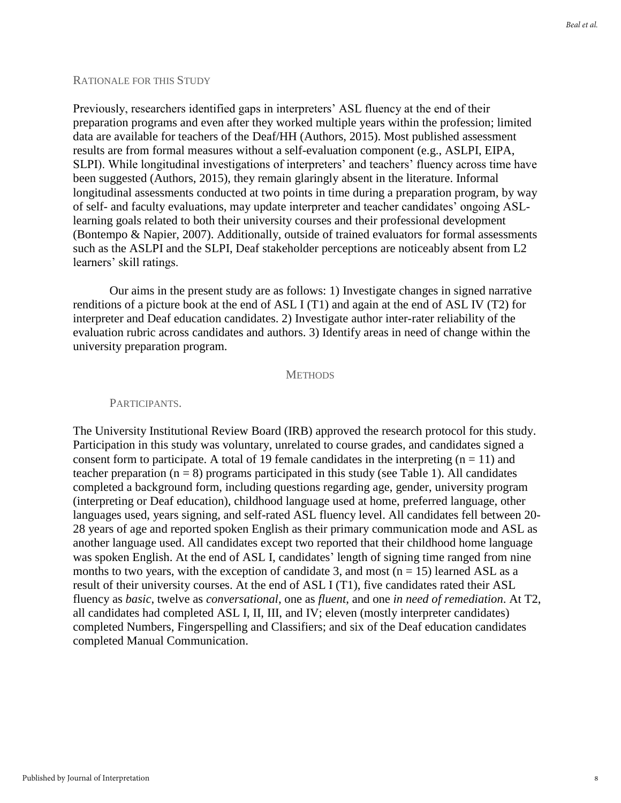#### RATIONALE FOR THIS STUDY

Previously, researchers identified gaps in interpreters' ASL fluency at the end of their preparation programs and even after they worked multiple years within the profession; limited data are available for teachers of the Deaf/HH (Authors, 2015). Most published assessment results are from formal measures without a self-evaluation component (e.g., ASLPI, EIPA, SLPI). While longitudinal investigations of interpreters' and teachers' fluency across time have been suggested (Authors, 2015), they remain glaringly absent in the literature. Informal longitudinal assessments conducted at two points in time during a preparation program, by way of self- and faculty evaluations, may update interpreter and teacher candidates' ongoing ASLlearning goals related to both their university courses and their professional development (Bontempo & Napier, 2007). Additionally, outside of trained evaluators for formal assessments such as the ASLPI and the SLPI, Deaf stakeholder perceptions are noticeably absent from L2 learners' skill ratings.

Our aims in the present study are as follows: 1) Investigate changes in signed narrative renditions of a picture book at the end of ASL I (T1) and again at the end of ASL IV (T2) for interpreter and Deaf education candidates. 2) Investigate author inter-rater reliability of the evaluation rubric across candidates and authors. 3) Identify areas in need of change within the university preparation program.

#### **METHODS**

#### PARTICIPANTS.

The University Institutional Review Board (IRB) approved the research protocol for this study. Participation in this study was voluntary, unrelated to course grades, and candidates signed a consent form to participate. A total of 19 female candidates in the interpreting  $(n = 11)$  and teacher preparation  $(n = 8)$  programs participated in this study (see Table 1). All candidates completed a background form, including questions regarding age, gender, university program (interpreting or Deaf education), childhood language used at home, preferred language, other languages used, years signing, and self-rated ASL fluency level. All candidates fell between 20- 28 years of age and reported spoken English as their primary communication mode and ASL as another language used. All candidates except two reported that their childhood home language was spoken English. At the end of ASL I, candidates' length of signing time ranged from nine months to two years, with the exception of candidate 3, and most ( $n = 15$ ) learned ASL as a result of their university courses. At the end of ASL I (T1), five candidates rated their ASL fluency as *basic*, twelve as *conversational*, one as *fluent*, and one *in need of remediation*. At T2, all candidates had completed ASL I, II, III, and IV; eleven (mostly interpreter candidates) completed Numbers, Fingerspelling and Classifiers; and six of the Deaf education candidates completed Manual Communication.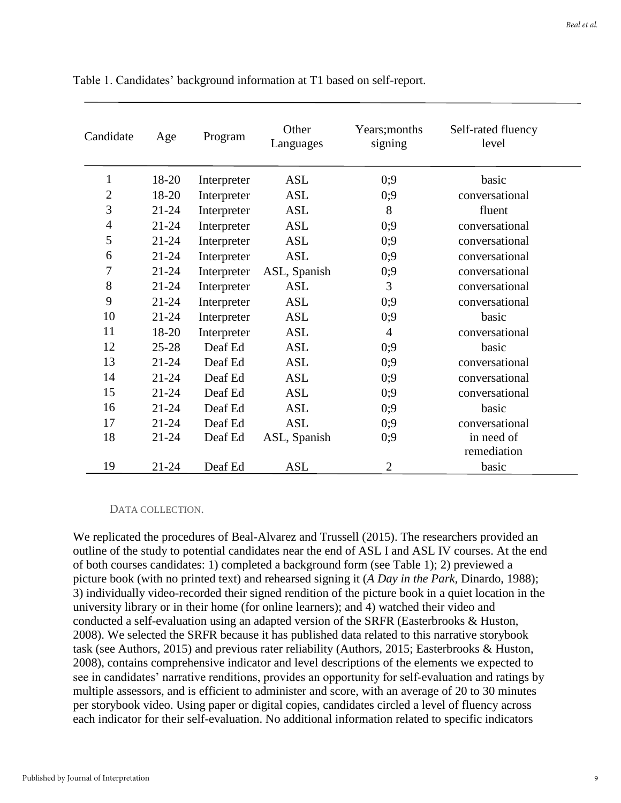| Candidate      | Age       | Program     | Other<br>Languages | Years; months<br>signing | Self-rated fluency<br>level |
|----------------|-----------|-------------|--------------------|--------------------------|-----------------------------|
| $\mathbf{1}$   | 18-20     | Interpreter | <b>ASL</b>         | 0:9                      | basic                       |
| $\overline{2}$ | 18-20     | Interpreter | <b>ASL</b>         | 0;9                      | conversational              |
| 3              | $21 - 24$ | Interpreter | <b>ASL</b>         | 8                        | fluent                      |
| $\overline{4}$ | $21 - 24$ | Interpreter | <b>ASL</b>         | 0;9                      | conversational              |
| 5              | $21 - 24$ | Interpreter | <b>ASL</b>         | 0;9                      | conversational              |
| 6              | $21 - 24$ | Interpreter | <b>ASL</b>         | 0:9                      | conversational              |
| 7              | $21 - 24$ | Interpreter | ASL, Spanish       | 0;9                      | conversational              |
| 8              | $21 - 24$ | Interpreter | <b>ASL</b>         | 3                        | conversational              |
| 9              | $21 - 24$ | Interpreter | <b>ASL</b>         | 0:9                      | conversational              |
| 10             | $21 - 24$ | Interpreter | <b>ASL</b>         | 0:9                      | basic                       |
| 11             | 18-20     | Interpreter | <b>ASL</b>         | $\overline{4}$           | conversational              |
| 12             | $25 - 28$ | Deaf Ed     | <b>ASL</b>         | 0:9                      | basic                       |
| 13             | $21 - 24$ | Deaf Ed     | <b>ASL</b>         | 0:9                      | conversational              |
| 14             | $21 - 24$ | Deaf Ed     | <b>ASL</b>         | 0:9                      | conversational              |
| 15             | $21 - 24$ | Deaf Ed     | <b>ASL</b>         | 0;9                      | conversational              |
| 16             | $21 - 24$ | Deaf Ed     | <b>ASL</b>         | 0:9                      | basic                       |
| 17             | $21 - 24$ | Deaf Ed     | <b>ASL</b>         | 0;9                      | conversational              |
| 18             | $21 - 24$ | Deaf Ed     | ASL, Spanish       | 0;9                      | in need of                  |
|                |           |             |                    |                          | remediation                 |
| 19             | 21-24     | Deaf Ed     | <b>ASL</b>         | $\overline{c}$           | basic                       |

Table 1. Candidates' background information at T1 based on self-report.

#### DATA COLLECTION.

We replicated the procedures of Beal-Alvarez and Trussell (2015). The researchers provided an outline of the study to potential candidates near the end of ASL I and ASL IV courses. At the end of both courses candidates: 1) completed a background form (see Table 1); 2) previewed a picture book (with no printed text) and rehearsed signing it (*A Day in the Park,* Dinardo, 1988); 3) individually video-recorded their signed rendition of the picture book in a quiet location in the university library or in their home (for online learners); and 4) watched their video and conducted a self-evaluation using an adapted version of the SRFR (Easterbrooks & Huston, 2008). We selected the SRFR because it has published data related to this narrative storybook task (see Authors, 2015) and previous rater reliability (Authors, 2015; Easterbrooks & Huston, 2008), contains comprehensive indicator and level descriptions of the elements we expected to see in candidates' narrative renditions, provides an opportunity for self-evaluation and ratings by multiple assessors, and is efficient to administer and score, with an average of 20 to 30 minutes per storybook video. Using paper or digital copies, candidates circled a level of fluency across each indicator for their self-evaluation. No additional information related to specific indicators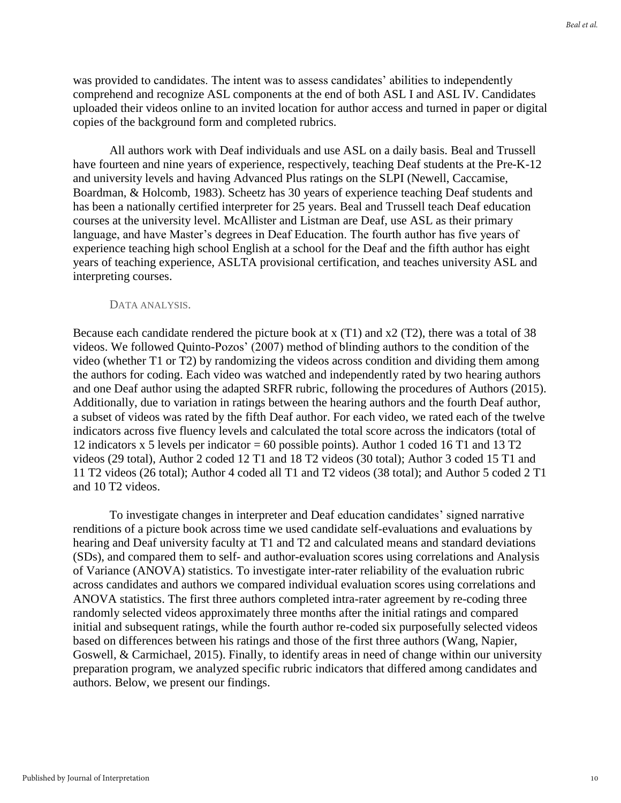was provided to candidates. The intent was to assess candidates' abilities to independently comprehend and recognize ASL components at the end of both ASL I and ASL IV. Candidates uploaded their videos online to an invited location for author access and turned in paper or digital copies of the background form and completed rubrics.

All authors work with Deaf individuals and use ASL on a daily basis. Beal and Trussell have fourteen and nine years of experience, respectively, teaching Deaf students at the Pre-K-12 and university levels and having Advanced Plus ratings on the SLPI (Newell, Caccamise, Boardman, & Holcomb, 1983). Scheetz has 30 years of experience teaching Deaf students and has been a nationally certified interpreter for 25 years. Beal and Trussell teach Deaf education courses at the university level. McAllister and Listman are Deaf, use ASL as their primary language, and have Master's degrees in Deaf Education. The fourth author has five years of experience teaching high school English at a school for the Deaf and the fifth author has eight years of teaching experience, ASLTA provisional certification, and teaches university ASL and interpreting courses.

#### DATA ANALYSIS.

Because each candidate rendered the picture book at x (T1) and x2 (T2), there was a total of 38 videos. We followed Quinto-Pozos' (2007) method of blinding authors to the condition of the video (whether T1 or T2) by randomizing the videos across condition and dividing them among the authors for coding. Each video was watched and independently rated by two hearing authors and one Deaf author using the adapted SRFR rubric, following the procedures of Authors (2015). Additionally, due to variation in ratings between the hearing authors and the fourth Deaf author, a subset of videos was rated by the fifth Deaf author. For each video, we rated each of the twelve indicators across five fluency levels and calculated the total score across the indicators (total of 12 indicators x 5 levels per indicator = 60 possible points). Author 1 coded 16 T1 and 13 T2 videos (29 total), Author 2 coded 12 T1 and 18 T2 videos (30 total); Author 3 coded 15 T1 and 11 T2 videos (26 total); Author 4 coded all T1 and T2 videos (38 total); and Author 5 coded 2 T1 and 10 T2 videos.

To investigate changes in interpreter and Deaf education candidates' signed narrative renditions of a picture book across time we used candidate self-evaluations and evaluations by hearing and Deaf university faculty at T1 and T2 and calculated means and standard deviations (SDs), and compared them to self- and author-evaluation scores using correlations and Analysis of Variance (ANOVA) statistics. To investigate inter-rater reliability of the evaluation rubric across candidates and authors we compared individual evaluation scores using correlations and ANOVA statistics. The first three authors completed intra-rater agreement by re-coding three randomly selected videos approximately three months after the initial ratings and compared initial and subsequent ratings, while the fourth author re-coded six purposefully selected videos based on differences between his ratings and those of the first three authors (Wang, Napier, Goswell, & Carmichael, 2015). Finally, to identify areas in need of change within our university preparation program, we analyzed specific rubric indicators that differed among candidates and authors. Below, we present our findings.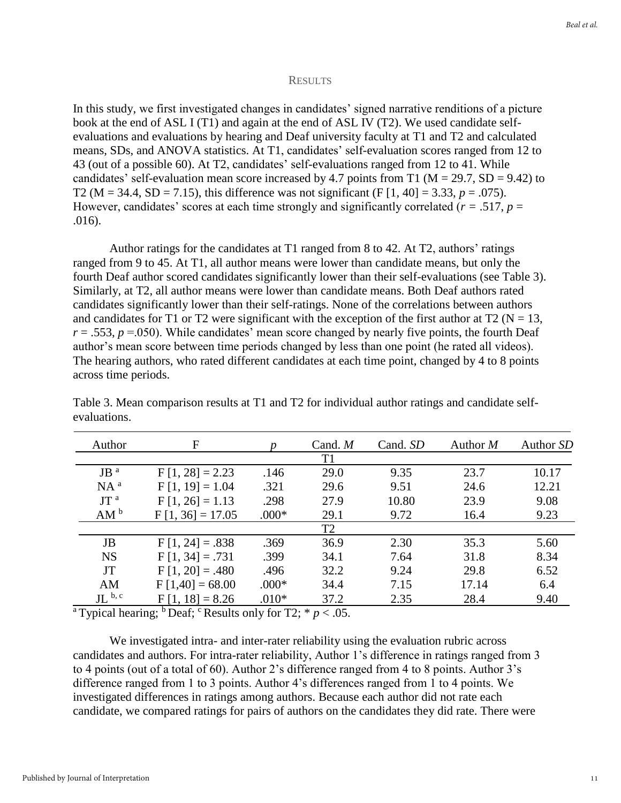#### **RESULTS**

In this study, we first investigated changes in candidates' signed narrative renditions of a picture book at the end of ASL I (T1) and again at the end of ASL IV (T2). We used candidate selfevaluations and evaluations by hearing and Deaf university faculty at T1 and T2 and calculated means, SDs, and ANOVA statistics. At T1, candidates' self-evaluation scores ranged from 12 to 43 (out of a possible 60). At T2, candidates' self-evaluations ranged from 12 to 41. While candidates' self-evaluation mean score increased by 4.7 points from T1 ( $M = 29.7$ ,  $SD = 9.42$ ) to T2 ( $M = 34.4$ ,  $SD = 7.15$ ), this difference was not significant ( $F [1, 40] = 3.33$ ,  $p = .075$ ). However, candidates' scores at each time strongly and significantly correlated ( $r = .517$ ,  $p =$ .016).

Author ratings for the candidates at T1 ranged from 8 to 42. At T2, authors' ratings ranged from 9 to 45. At T1, all author means were lower than candidate means, but only the fourth Deaf author scored candidates significantly lower than their self-evaluations (see Table 3). Similarly, at T2, all author means were lower than candidate means. Both Deaf authors rated candidates significantly lower than their self-ratings. None of the correlations between authors and candidates for T1 or T2 were significant with the exception of the first author at T2 ( $N = 13$ ,  $r = .553$ ,  $p = .050$ ). While candidates' mean score changed by nearly five points, the fourth Deaf author's mean score between time periods changed by less than one point (he rated all videos). The hearing authors, who rated different candidates at each time point, changed by 4 to 8 points across time periods.

| Author                         | F                  |         | Cand. $M$      | Cand. SD | Author $M$ | Author SD |
|--------------------------------|--------------------|---------|----------------|----------|------------|-----------|
|                                |                    |         | T <sub>1</sub> |          |            |           |
| $JB$ <sup><math>a</math></sup> | $F[1, 28] = 2.23$  | .146    | 29.0           | 9.35     | 23.7       | 10.17     |
| $NA^a$                         | $F[1, 19] = 1.04$  | .321    | 29.6           | 9.51     | 24.6       | 12.21     |
| JT <sup>a</sup>                | $F[1, 26] = 1.13$  | .298    | 27.9           | 10.80    | 23.9       | 9.08      |
| AM <sup>b</sup>                | $F[1, 36] = 17.05$ | $.000*$ | 29.1           | 9.72     | 16.4       | 9.23      |
|                                |                    |         | T <sub>2</sub> |          |            |           |
| <b>JB</b>                      | $F[1, 24] = .838$  | .369    | 36.9           | 2.30     | 35.3       | 5.60      |
| <b>NS</b>                      | $F[1, 34] = .731$  | .399    | 34.1           | 7.64     | 31.8       | 8.34      |
| <b>JT</b>                      | $F[1, 20] = .480$  | .496    | 32.2           | 9.24     | 29.8       | 6.52      |
| AM                             | $F[1,40] = 68.00$  | $.000*$ | 34.4           | 7.15     | 17.14      | 6.4       |
| $JL^{b, c}$                    | $F[1, 18] = 8.26$  | $.010*$ | 37.2           | 2.35     | 28.4       | 9.40      |

Table 3. Mean comparison results at T1 and T2 for individual author ratings and candidate selfevaluations.

<sup>a</sup> Typical hearing; <sup>b</sup> Deaf; <sup>c</sup> Results only for T2;  $* p < .05$ .

We investigated intra- and inter-rater reliability using the evaluation rubric across candidates and authors. For intra-rater reliability, Author 1's difference in ratings ranged from 3 to 4 points (out of a total of 60). Author 2's difference ranged from 4 to 8 points. Author 3's difference ranged from 1 to 3 points. Author 4's differences ranged from 1 to 4 points. We investigated differences in ratings among authors. Because each author did not rate each candidate, we compared ratings for pairs of authors on the candidates they did rate. There were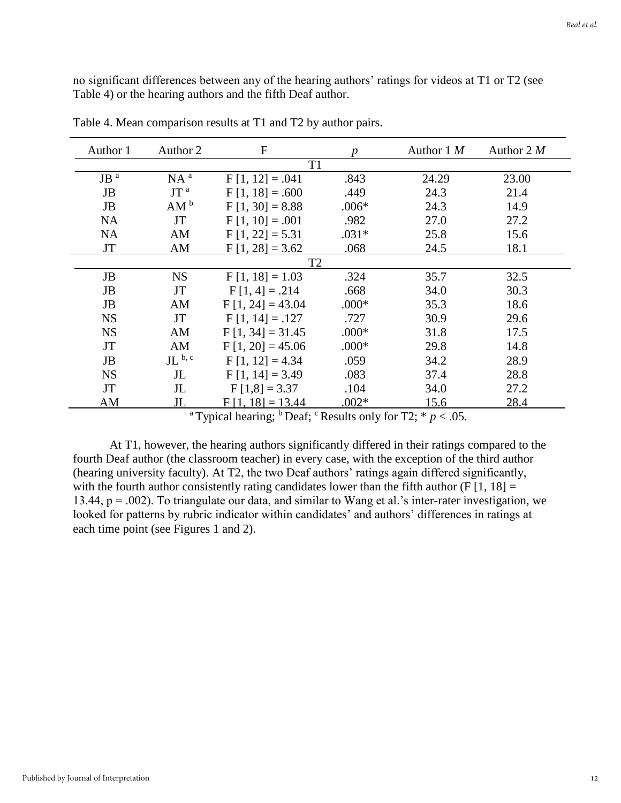no significant differences between any of the hearing authors' ratings for videos at T1 or T2 (see Table 4) or the hearing authors and the fifth Deaf author.

| Author 1        | Author 2        | $\overline{F}$     | $\boldsymbol{p}$ | Author $1 M$ | Author $2 M$ |  |  |  |  |
|-----------------|-----------------|--------------------|------------------|--------------|--------------|--|--|--|--|
|                 | T1              |                    |                  |              |              |  |  |  |  |
| JB <sup>a</sup> | $NA^a$          | $F[1, 12] = .041$  | .843             | 24.29        | 23.00        |  |  |  |  |
| <b>JB</b>       | JT <sup>a</sup> | $F[1, 18] = .600$  | .449             | 24.3         | 21.4         |  |  |  |  |
| <b>JB</b>       | AM <sup>b</sup> | $F[1, 30] = 8.88$  | $.006*$          | 24.3         | 14.9         |  |  |  |  |
| <b>NA</b>       | <b>JT</b>       | $F[1, 10] = .001$  | .982             | 27.0         | 27.2         |  |  |  |  |
| <b>NA</b>       | AM              | $F[1, 22] = 5.31$  | $.031*$          | 25.8         | 15.6         |  |  |  |  |
| <b>JT</b>       | AM              | $F[1, 28] = 3.62$  | .068             | 24.5         | 18.1         |  |  |  |  |
|                 | T <sub>2</sub>  |                    |                  |              |              |  |  |  |  |
| JB              | <b>NS</b>       | $F[1, 18] = 1.03$  | .324             | 35.7         | 32.5         |  |  |  |  |
| <b>JB</b>       | <b>JT</b>       | $F[1, 4] = .214$   | .668             | 34.0         | 30.3         |  |  |  |  |
| <b>JB</b>       | AM              | $F[1, 24] = 43.04$ | $.000*$          | 35.3         | 18.6         |  |  |  |  |
| <b>NS</b>       | JT              | $F[1, 14] = .127$  | .727             | 30.9         | 29.6         |  |  |  |  |
| <b>NS</b>       | AM              | $F[1, 34] = 31.45$ | $.000*$          | 31.8         | 17.5         |  |  |  |  |
| <b>JT</b>       | AM              | $F[1, 20] = 45.06$ | $.000*$          | 29.8         | 14.8         |  |  |  |  |
| <b>JB</b>       | $JL^{b,c}$      | $F[1, 12] = 4.34$  | .059             | 34.2         | 28.9         |  |  |  |  |
| <b>NS</b>       | $J_{\rm L}$     | $F[1, 14] = 3.49$  | .083             | 37.4         | 28.8         |  |  |  |  |
| <b>JT</b>       | $J_{\rm L}$     | $F[1,8] = 3.37$    | .104             | 34.0         | 27.2         |  |  |  |  |
| AM              | JL              | $F[1, 18] = 13.44$ | $.002*$          | 15.6         | 28.4         |  |  |  |  |

Table 4. Mean comparison results at T1 and T2 by author pairs.

<sup>a</sup> Typical hearing; <sup>b</sup> Deaf; <sup>c</sup> Results only for T2;  $* p < .05$ .

At T1, however, the hearing authors significantly differed in their ratings compared to the fourth Deaf author (the classroom teacher) in every case, with the exception of the third author (hearing university faculty). At T2, the two Deaf authors' ratings again differed significantly, with the fourth author consistently rating candidates lower than the fifth author (F  $\lceil 1, 18 \rceil =$ 13.44, p = .002). To triangulate our data, and similar to Wang et al.'s inter-rater investigation, we looked for patterns by rubric indicator within candidates' and authors' differences in ratings at each time point (see Figures 1 and 2).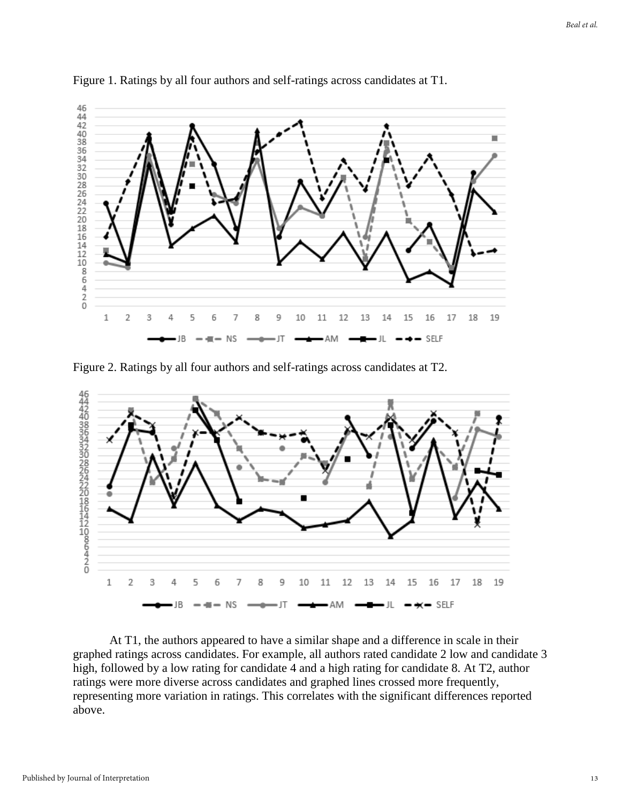

Figure 1. Ratings by all four authors and self-ratings across candidates at T1.

Figure 2. Ratings by all four authors and self-ratings across candidates at T2.



At T1, the authors appeared to have a similar shape and a difference in scale in their graphed ratings across candidates. For example, all authors rated candidate 2 low and candidate 3 high, followed by a low rating for candidate 4 and a high rating for candidate 8. At T2, author ratings were more diverse across candidates and graphed lines crossed more frequently, representing more variation in ratings. This correlates with the significant differences reported above.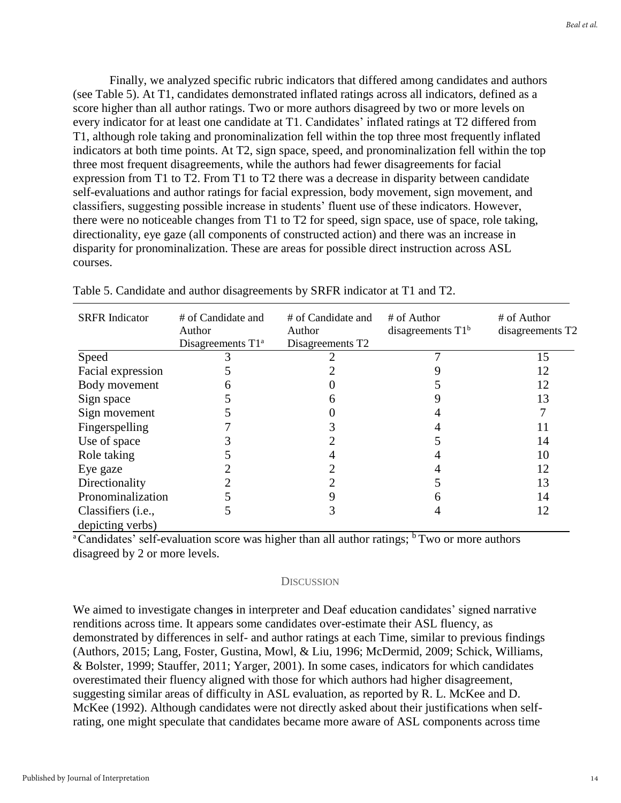Finally, we analyzed specific rubric indicators that differed among candidates and authors (see Table 5). At T1, candidates demonstrated inflated ratings across all indicators, defined as a score higher than all author ratings. Two or more authors disagreed by two or more levels on every indicator for at least one candidate at T1. Candidates' inflated ratings at T2 differed from T1, although role taking and pronominalization fell within the top three most frequently inflated indicators at both time points. At T2, sign space, speed, and pronominalization fell within the top three most frequent disagreements, while the authors had fewer disagreements for facial expression from T1 to T2. From T1 to T2 there was a decrease in disparity between candidate self-evaluations and author ratings for facial expression, body movement, sign movement, and classifiers, suggesting possible increase in students' fluent use of these indicators. However, there were no noticeable changes from T1 to T2 for speed, sign space, use of space, role taking, directionality, eye gaze (all components of constructed action) and there was an increase in disparity for pronominalization. These are areas for possible direct instruction across ASL courses.

| <b>SRFR</b> Indicator                           | # of Candidate and<br>Author<br>Disagreements $T1^a$ | # of Candidate and<br>Author<br>Disagreements T2 | # of Author<br>disagreements $T1^b$ | # of Author<br>disagreements T2 |
|-------------------------------------------------|------------------------------------------------------|--------------------------------------------------|-------------------------------------|---------------------------------|
| Speed                                           |                                                      |                                                  |                                     | 15                              |
| Facial expression                               |                                                      |                                                  |                                     | 12                              |
| Body movement                                   |                                                      |                                                  |                                     | 12                              |
| Sign space                                      |                                                      |                                                  |                                     | 13                              |
| Sign movement                                   |                                                      |                                                  |                                     |                                 |
| Fingerspelling                                  |                                                      |                                                  |                                     | 11                              |
| Use of space                                    |                                                      |                                                  |                                     | 14                              |
| Role taking                                     |                                                      |                                                  |                                     | 10                              |
| Eye gaze                                        |                                                      |                                                  |                                     | 12                              |
| Directionality                                  |                                                      |                                                  |                                     | 13                              |
| Pronominalization                               |                                                      |                                                  |                                     | 14                              |
| Classifiers ( <i>i.e.</i> ,<br>depicting verbs) |                                                      |                                                  |                                     | 12                              |

Table 5. Candidate and author disagreements by SRFR indicator at T1 and T2.

<sup>a</sup>Candidates' self-evaluation score was higher than all author ratings;  $\frac{b}{b}$ Two or more authors disagreed by 2 or more levels.

#### **DISCUSSION**

We aimed to investigate change**s** in interpreter and Deaf education candidates' signed narrative renditions across time. It appears some candidates over-estimate their ASL fluency, as demonstrated by differences in self- and author ratings at each Time, similar to previous findings (Authors, 2015; Lang, Foster, Gustina, Mowl, & Liu, 1996; McDermid, 2009; Schick, Williams, & Bolster, 1999; Stauffer, 2011; Yarger, 2001). In some cases, indicators for which candidates overestimated their fluency aligned with those for which authors had higher disagreement, suggesting similar areas of difficulty in ASL evaluation, as reported by R. L. McKee and D. McKee (1992). Although candidates were not directly asked about their justifications when selfrating, one might speculate that candidates became more aware of ASL components across time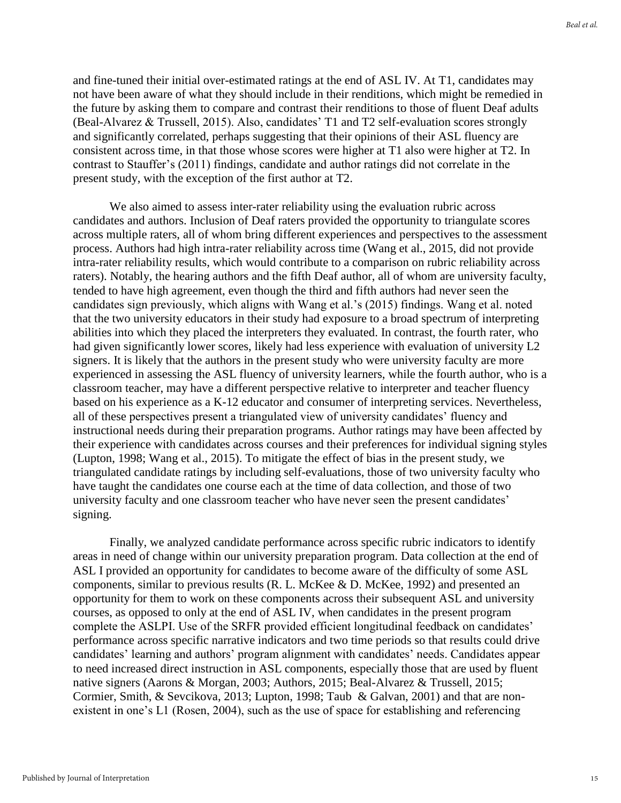and fine-tuned their initial over-estimated ratings at the end of ASL IV. At T1, candidates may not have been aware of what they should include in their renditions, which might be remedied in the future by asking them to compare and contrast their renditions to those of fluent Deaf adults (Beal-Alvarez & Trussell, 2015). Also, candidates' T1 and T2 self-evaluation scores strongly and significantly correlated, perhaps suggesting that their opinions of their ASL fluency are consistent across time, in that those whose scores were higher at T1 also were higher at T2. In contrast to Stauffer's (2011) findings, candidate and author ratings did not correlate in the present study, with the exception of the first author at T2.

We also aimed to assess inter-rater reliability using the evaluation rubric across candidates and authors. Inclusion of Deaf raters provided the opportunity to triangulate scores across multiple raters, all of whom bring different experiences and perspectives to the assessment process. Authors had high intra-rater reliability across time (Wang et al., 2015, did not provide intra-rater reliability results, which would contribute to a comparison on rubric reliability across raters). Notably, the hearing authors and the fifth Deaf author, all of whom are university faculty, tended to have high agreement, even though the third and fifth authors had never seen the candidates sign previously, which aligns with Wang et al.'s (2015) findings. Wang et al. noted that the two university educators in their study had exposure to a broad spectrum of interpreting abilities into which they placed the interpreters they evaluated. In contrast, the fourth rater, who had given significantly lower scores, likely had less experience with evaluation of university L2 signers. It is likely that the authors in the present study who were university faculty are more experienced in assessing the ASL fluency of university learners, while the fourth author, who is a classroom teacher, may have a different perspective relative to interpreter and teacher fluency based on his experience as a K-12 educator and consumer of interpreting services. Nevertheless, all of these perspectives present a triangulated view of university candidates' fluency and instructional needs during their preparation programs. Author ratings may have been affected by their experience with candidates across courses and their preferences for individual signing styles (Lupton, 1998; Wang et al., 2015). To mitigate the effect of bias in the present study, we triangulated candidate ratings by including self-evaluations, those of two university faculty who have taught the candidates one course each at the time of data collection, and those of two university faculty and one classroom teacher who have never seen the present candidates' signing.

Finally, we analyzed candidate performance across specific rubric indicators to identify areas in need of change within our university preparation program. Data collection at the end of ASL I provided an opportunity for candidates to become aware of the difficulty of some ASL components, similar to previous results (R. L. McKee & D. McKee, 1992) and presented an opportunity for them to work on these components across their subsequent ASL and university courses, as opposed to only at the end of ASL IV, when candidates in the present program complete the ASLPI. Use of the SRFR provided efficient longitudinal feedback on candidates' performance across specific narrative indicators and two time periods so that results could drive candidates' learning and authors' program alignment with candidates' needs. Candidates appear to need increased direct instruction in ASL components, especially those that are used by fluent native signers (Aarons & Morgan, 2003; Authors, 2015; Beal-Alvarez & Trussell, 2015; Cormier, Smith, & Sevcikova, 2013; Lupton, 1998; Taub & Galvan, 2001) and that are nonexistent in one's L1 (Rosen, 2004), such as the use of space for establishing and referencing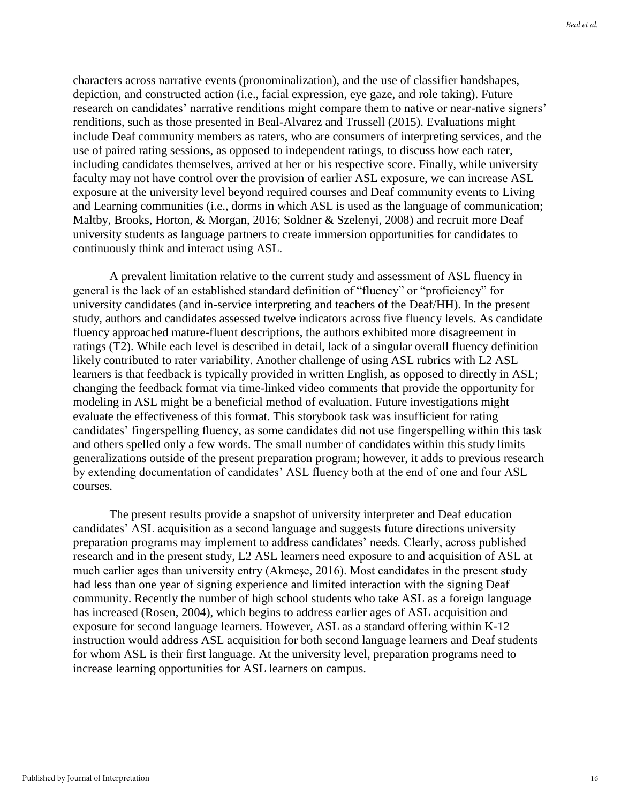characters across narrative events (pronominalization), and the use of classifier handshapes, depiction, and constructed action (i.e., facial expression, eye gaze, and role taking). Future research on candidates' narrative renditions might compare them to native or near-native signers' renditions, such as those presented in Beal-Alvarez and Trussell (2015). Evaluations might include Deaf community members as raters, who are consumers of interpreting services, and the use of paired rating sessions, as opposed to independent ratings, to discuss how each rater, including candidates themselves, arrived at her or his respective score. Finally, while university faculty may not have control over the provision of earlier ASL exposure, we can increase ASL exposure at the university level beyond required courses and Deaf community events to Living and Learning communities (i.e., dorms in which ASL is used as the language of communication; Maltby, Brooks, Horton, & Morgan, 2016; Soldner & Szelenyi, 2008) and recruit more Deaf university students as language partners to create immersion opportunities for candidates to continuously think and interact using ASL.

A prevalent limitation relative to the current study and assessment of ASL fluency in general is the lack of an established standard definition of "fluency" or "proficiency" for university candidates (and in-service interpreting and teachers of the Deaf/HH). In the present study, authors and candidates assessed twelve indicators across five fluency levels. As candidate fluency approached mature-fluent descriptions, the authors exhibited more disagreement in ratings (T2). While each level is described in detail, lack of a singular overall fluency definition likely contributed to rater variability. Another challenge of using ASL rubrics with L2 ASL learners is that feedback is typically provided in written English, as opposed to directly in ASL; changing the feedback format via time-linked video comments that provide the opportunity for modeling in ASL might be a beneficial method of evaluation. Future investigations might evaluate the effectiveness of this format. This storybook task was insufficient for rating candidates' fingerspelling fluency, as some candidates did not use fingerspelling within this task and others spelled only a few words. The small number of candidates within this study limits generalizations outside of the present preparation program; however, it adds to previous research by extending documentation of candidates' ASL fluency both at the end of one and four ASL courses.

The present results provide a snapshot of university interpreter and Deaf education candidates' ASL acquisition as a second language and suggests future directions university preparation programs may implement to address candidates' needs. Clearly, across published research and in the present study, L2 ASL learners need exposure to and acquisition of ASL at much earlier ages than university entry (Akmeşe, 2016). Most candidates in the present study had less than one year of signing experience and limited interaction with the signing Deaf community. Recently the number of high school students who take ASL as a foreign language has increased (Rosen, 2004), which begins to address earlier ages of ASL acquisition and exposure for second language learners. However, ASL as a standard offering within K-12 instruction would address ASL acquisition for both second language learners and Deaf students for whom ASL is their first language. At the university level, preparation programs need to increase learning opportunities for ASL learners on campus.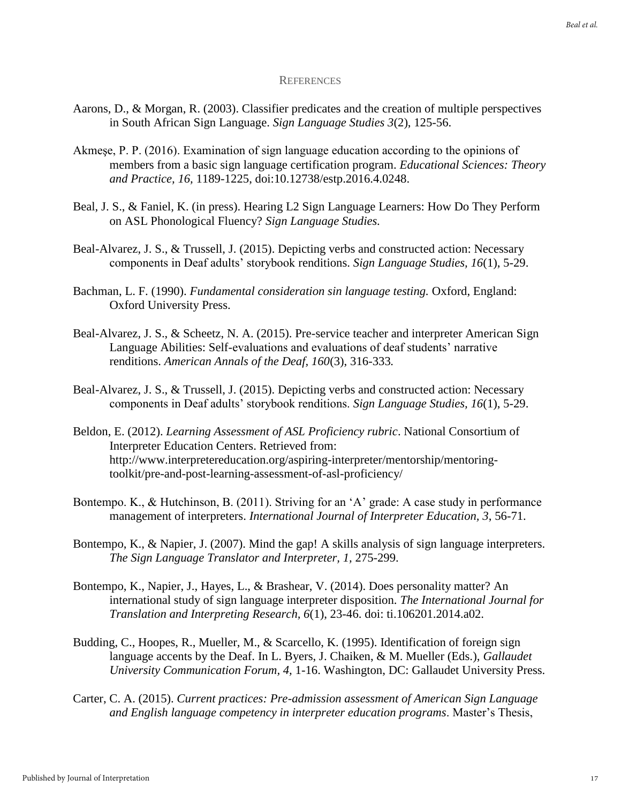#### **REFERENCES**

- Aarons, D., & Morgan, R. (2003). Classifier predicates and the creation of multiple perspectives in South African Sign Language. *Sign Language Studies 3*(2), 125-56.
- Akmeşe, P. P. (2016). Examination of sign language education according to the opinions of members from a basic sign language certification program. *Educational Sciences: Theory and Practice, 16,* 1189-1225, doi:10.12738/estp.2016.4.0248.
- Beal, J. S., & Faniel, K. (in press). Hearing L2 Sign Language Learners: How Do They Perform on ASL Phonological Fluency? *Sign Language Studies.*
- Beal-Alvarez, J. S., & Trussell, J. (2015). Depicting verbs and constructed action: Necessary components in Deaf adults' storybook renditions. *Sign Language Studies, 16*(1), 5-29.
- Bachman, L. F. (1990). *Fundamental consideration sin language testing.* Oxford, England: Oxford University Press.
- Beal-Alvarez, J. S., & Scheetz, N. A. (2015). Pre-service teacher and interpreter American Sign Language Abilities: Self-evaluations and evaluations of deaf students' narrative renditions. *American Annals of the Deaf, 160*(3), 316-333*.*
- Beal-Alvarez, J. S., & Trussell, J. (2015). Depicting verbs and constructed action: Necessary components in Deaf adults' storybook renditions. *Sign Language Studies, 16*(1), 5-29.
- Beldon, E. (2012). *Learning Assessment of ASL Proficiency rubric*. National Consortium of Interpreter Education Centers. Retrieved from: http://www.interpretereducation.org/aspiring-interpreter/mentorship/mentoringtoolkit/pre-and-post-learning-assessment-of-asl-proficiency/
- Bontempo. K., & Hutchinson, B. (2011). Striving for an 'A' grade: A case study in performance management of interpreters. *International Journal of Interpreter Education, 3*, 56-71.
- Bontempo, K., & Napier, J. (2007). Mind the gap! A skills analysis of sign language interpreters. *The Sign Language Translator and Interpreter, 1,* 275-299.
- Bontempo, K., Napier, J., Hayes, L., & Brashear, V. (2014). Does personality matter? An international study of sign language interpreter disposition. *The International Journal for Translation and Interpreting Research, 6*(1), 23-46. doi: ti.106201.2014.a02.
- Budding, C., Hoopes, R., Mueller, M., & Scarcello, K. (1995). Identification of foreign sign language accents by the Deaf. In L. Byers, J. Chaiken, & M. Mueller (Eds.), *Gallaudet University Communication Forum, 4,* 1-16. Washington, DC: Gallaudet University Press.
- Carter, C. A. (2015). *Current practices: Pre-admission assessment of American Sign Language and English language competency in interpreter education programs*. Master's Thesis,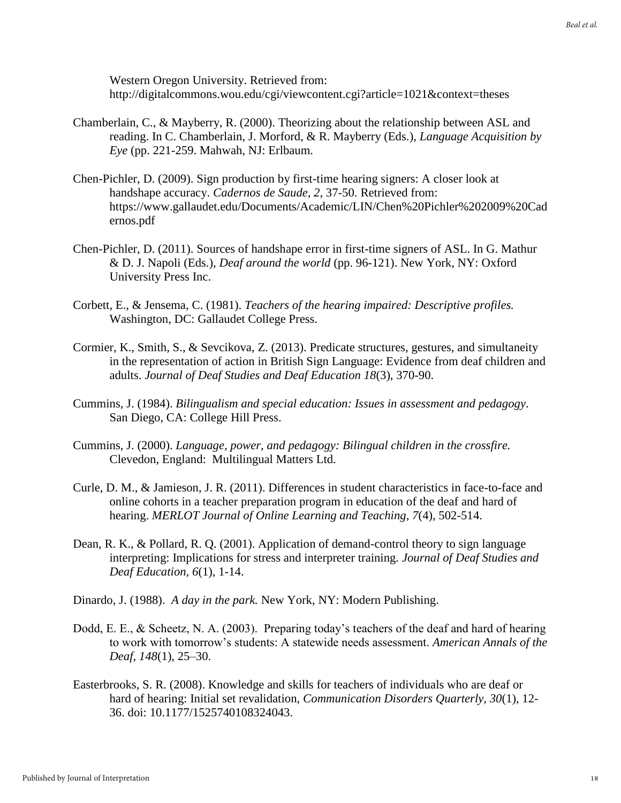Western Oregon University. Retrieved from: http://digitalcommons.wou.edu/cgi/viewcontent.cgi?article=1021&context=theses

- Chamberlain, C., & Mayberry, R. (2000). Theorizing about the relationship between ASL and reading. In C. Chamberlain, J. Morford, & R. Mayberry (Eds.), *Language Acquisition by Eye* (pp. 221-259. Mahwah, NJ: Erlbaum.
- Chen-Pichler, D. (2009). Sign production by first-time hearing signers: A closer look at handshape accuracy. *Cadernos de Saude, 2*, 37-50. Retrieved from: https://www.gallaudet.edu/Documents/Academic/LIN/Chen%20Pichler%202009%20Cad ernos.pdf
- Chen-Pichler, D. (2011). Sources of handshape error in first-time signers of ASL. In G. Mathur & D. J. Napoli (Eds.), *Deaf around the world* (pp. 96-121). New York, NY: Oxford University Press Inc.
- Corbett, E., & Jensema, C. (1981). *Teachers of the hearing impaired: Descriptive profiles.*  Washington, DC: Gallaudet College Press.
- Cormier, K., Smith, S., & Sevcikova, Z. (2013). Predicate structures, gestures, and simultaneity in the representation of action in British Sign Language: Evidence from deaf children and adults. *Journal of Deaf Studies and Deaf Education 18*(3), 370-90.
- Cummins, J. (1984). *Bilingualism and special education: Issues in assessment and pedagogy*. San Diego, CA: College Hill Press.
- Cummins, J. (2000). *Language, power, and pedagogy: Bilingual children in the crossfire.*  Clevedon, England: Multilingual Matters Ltd.
- Curle, D. M., & Jamieson, J. R. (2011). Differences in student characteristics in face-to-face and online cohorts in a teacher preparation program in education of the deaf and hard of hearing. *MERLOT Journal of Online Learning and Teaching, 7*(4), 502-514.
- Dean, R. K., & Pollard, R. Q. (2001). Application of demand-control theory to sign language interpreting: Implications for stress and interpreter training. *Journal of Deaf Studies and Deaf Education, 6*(1), 1-14.
- Dinardo, J. (1988). *A day in the park.* New York, NY: Modern Publishing.
- Dodd, E. E., & Scheetz, N. A. (2003). Preparing today's teachers of the deaf and hard of hearing to work with tomorrow's students: A statewide needs assessment. *American Annals of the Deaf, 148*(1), 25–30.
- Easterbrooks, S. R. (2008). Knowledge and skills for teachers of individuals who are deaf or hard of hearing: Initial set revalidation, *Communication Disorders Quarterly, 30*(1), 12- 36. doi: 10.1177/1525740108324043.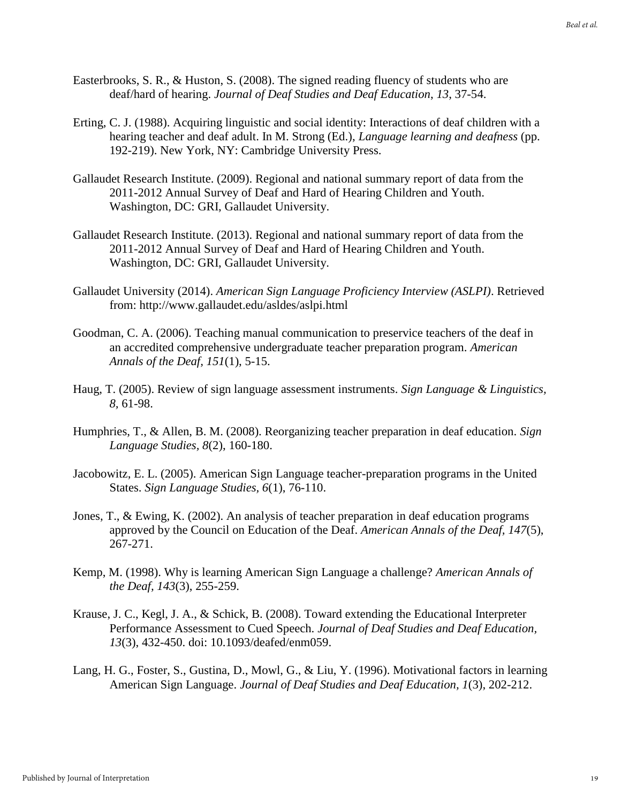- Easterbrooks, S. R., & Huston, S. (2008). The signed reading fluency of students who are deaf/hard of hearing. *Journal of Deaf Studies and Deaf Education*, *13*, 37-54.
- Erting, C. J. (1988). Acquiring linguistic and social identity: Interactions of deaf children with a hearing teacher and deaf adult. In M. Strong (Ed.), *Language learning and deafness* (pp. 192-219). New York, NY: Cambridge University Press.
- Gallaudet Research Institute. (2009). Regional and national summary report of data from the 2011-2012 Annual Survey of Deaf and Hard of Hearing Children and Youth. Washington, DC: GRI, Gallaudet University.
- Gallaudet Research Institute. (2013). Regional and national summary report of data from the 2011-2012 Annual Survey of Deaf and Hard of Hearing Children and Youth. Washington, DC: GRI, Gallaudet University.
- Gallaudet University (2014). *American Sign Language Proficiency Interview (ASLPI)*. Retrieved from: http://www.gallaudet.edu/asldes/aslpi.html
- Goodman, C. A. (2006). Teaching manual communication to preservice teachers of the deaf in an accredited comprehensive undergraduate teacher preparation program. *American Annals of the Deaf, 151*(1), 5-15.
- Haug, T. (2005). Review of sign language assessment instruments. *Sign Language & Linguistics, 8,* 61-98.
- Humphries, T., & Allen, B. M. (2008). Reorganizing teacher preparation in deaf education. *Sign Language Studies, 8*(2), 160-180.
- Jacobowitz, E. L. (2005). American Sign Language teacher-preparation programs in the United States. *Sign Language Studies, 6*(1), 76-110.
- Jones, T., & Ewing, K. (2002). An analysis of teacher preparation in deaf education programs approved by the Council on Education of the Deaf. *American Annals of the Deaf, 147*(5), 267-271.
- Kemp, M. (1998). Why is learning American Sign Language a challenge? *American Annals of the Deaf, 143*(3), 255-259.
- Krause, J. C., Kegl, J. A., & Schick, B. (2008). Toward extending the Educational Interpreter Performance Assessment to Cued Speech. *Journal of Deaf Studies and Deaf Education, 13*(3), 432-450. doi: 10.1093/deafed/enm059.
- Lang, H. G., Foster, S., Gustina, D., Mowl, G., & Liu, Y. (1996). Motivational factors in learning American Sign Language. *Journal of Deaf Studies and Deaf Education, 1*(3), 202-212.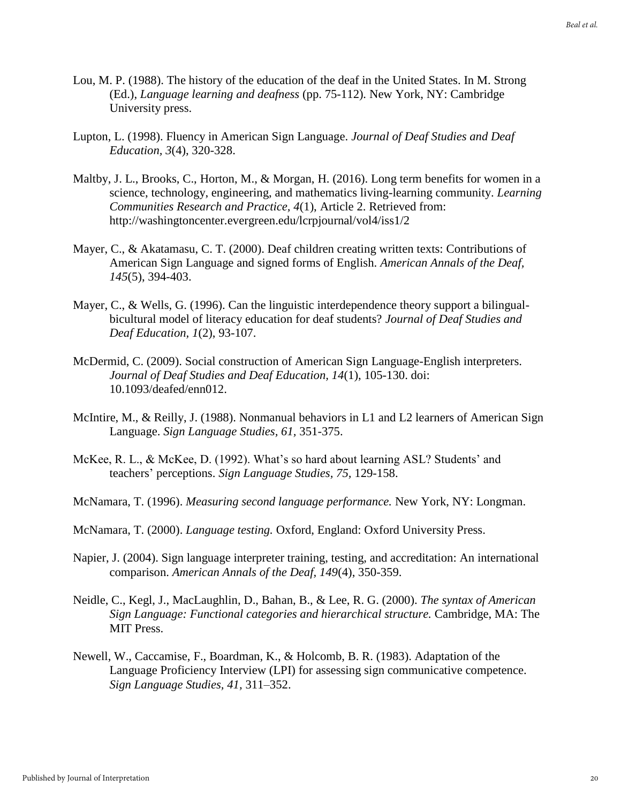- Lou, M. P. (1988). The history of the education of the deaf in the United States. In M. Strong (Ed.), *Language learning and deafness* (pp. 75-112)*.* New York, NY: Cambridge University press.
- Lupton, L. (1998). Fluency in American Sign Language. *Journal of Deaf Studies and Deaf Education, 3*(4), 320-328.
- Maltby, J. L., Brooks, C., Horton, M., & Morgan, H. (2016). Long term benefits for women in a science, technology, engineering, and mathematics living-learning community. *Learning Communities Research and Practice, 4*(1), Article 2. Retrieved from: http://washingtoncenter.evergreen.edu/lcrpjournal/vol4/iss1/2
- Mayer, C., & Akatamasu, C. T. (2000). Deaf children creating written texts: Contributions of American Sign Language and signed forms of English. *American Annals of the Deaf, 145*(5), 394-403.
- Mayer, C., & Wells, G. (1996). Can the linguistic interdependence theory support a bilingualbicultural model of literacy education for deaf students? *Journal of Deaf Studies and Deaf Education, 1*(2), 93-107.
- McDermid, C. (2009). Social construction of American Sign Language-English interpreters. *Journal of Deaf Studies and Deaf Education, 14*(1), 105-130. doi: 10.1093/deafed/enn012.
- McIntire, M., & Reilly, J. (1988). Nonmanual behaviors in L1 and L2 learners of American Sign Language. *Sign Language Studies, 61,* 351-375.
- McKee, R. L., & McKee, D. (1992). What's so hard about learning ASL? Students' and teachers' perceptions. *Sign Language Studies, 75,* 129-158.
- McNamara, T. (1996). *Measuring second language performance.* New York, NY: Longman.
- McNamara, T. (2000). *Language testing.* Oxford, England: Oxford University Press.
- Napier, J. (2004). Sign language interpreter training, testing, and accreditation: An international comparison. *American Annals of the Deaf, 149*(4), 350-359.
- Neidle, C., Kegl, J., MacLaughlin, D., Bahan, B., & Lee, R. G. (2000). *The syntax of American Sign Language: Functional categories and hierarchical structure.* Cambridge, MA: The MIT Press.
- Newell, W., Caccamise, F., Boardman, K., & Holcomb, B. R. (1983). Adaptation of the Language Proficiency Interview (LPI) for assessing sign communicative competence. *Sign Language Studies, 41,* 311–352.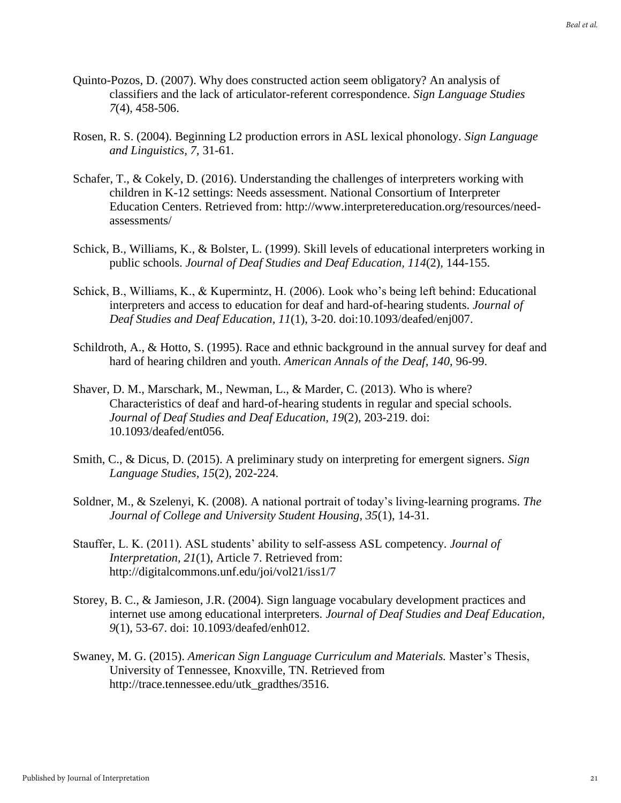- Quinto-Pozos, D. (2007). Why does constructed action seem obligatory? An analysis of classifiers and the lack of articulator-referent correspondence. *Sign Language Studies 7*(4), 458-506.
- Rosen, R. S. (2004). Beginning L2 production errors in ASL lexical phonology. *Sign Language and Linguistics, 7,* 31-61.
- Schafer, T., & Cokely, D. (2016). Understanding the challenges of interpreters working with children in K-12 settings: Needs assessment. National Consortium of Interpreter Education Centers. Retrieved from: http://www.interpretereducation.org/resources/needassessments/
- Schick, B., Williams, K., & Bolster, L. (1999). Skill levels of educational interpreters working in public schools. *Journal of Deaf Studies and Deaf Education, 114*(2), 144-155.
- Schick, B., Williams, K., & Kupermintz, H. (2006). Look who's being left behind: Educational interpreters and access to education for deaf and hard-of-hearing students. *Journal of Deaf Studies and Deaf Education, 11*(1), 3-20. doi:10.1093/deafed/enj007.
- Schildroth, A., & Hotto, S. (1995). Race and ethnic background in the annual survey for deaf and hard of hearing children and youth. *American Annals of the Deaf, 140,* 96-99.
- Shaver, D. M., Marschark, M., Newman, L., & Marder, C. (2013). Who is where? Characteristics of deaf and hard-of-hearing students in regular and special schools. *Journal of Deaf Studies and Deaf Education, 19*(2), 203-219. doi: 10.1093/deafed/ent056.
- Smith, C., & Dicus, D. (2015). A preliminary study on interpreting for emergent signers. *Sign Language Studies, 15*(2), 202-224.
- Soldner, M., & Szelenyi, K. (2008). A national portrait of today's living-learning programs. *The Journal of College and University Student Housing, 35*(1), 14-31.
- Stauffer, L. K. (2011). ASL students' ability to self-assess ASL competency. *Journal of Interpretation, 21*(1), Article 7. Retrieved from: http://digitalcommons.unf.edu/joi/vol21/iss1/7
- Storey, B. C., & Jamieson, J.R. (2004). Sign language vocabulary development practices and internet use among educational interpreters. *Journal of Deaf Studies and Deaf Education, 9*(1), 53-67. doi: 10.1093/deafed/enh012.
- Swaney, M. G. (2015). *American Sign Language Curriculum and Materials.* Master's Thesis, University of Tennessee, Knoxville, TN. Retrieved from http://trace.tennessee.edu/utk\_gradthes/3516.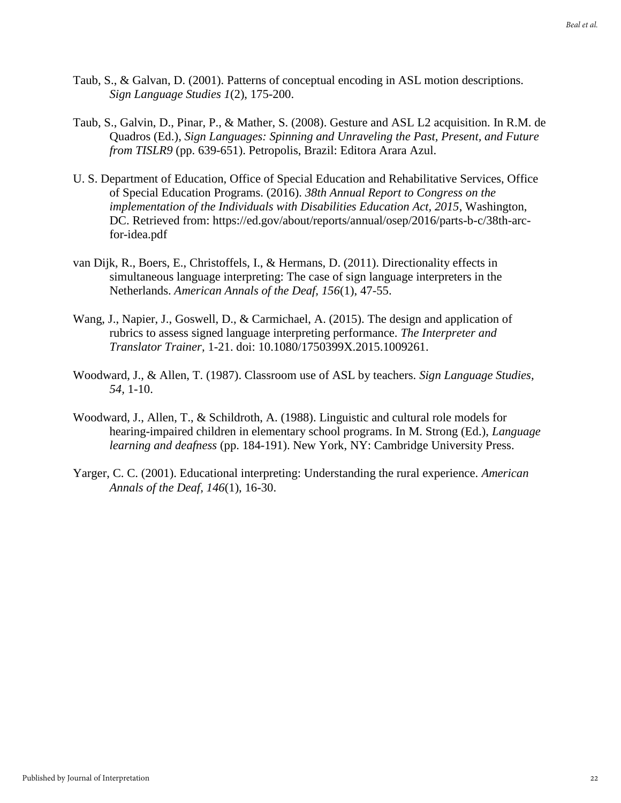- Taub, S., & Galvan, D. (2001). Patterns of conceptual encoding in ASL motion descriptions. *Sign Language Studies 1*(2), 175-200.
- Taub, S., Galvin, D., Pinar, P., & Mather, S. (2008). Gesture and ASL L2 acquisition. In R.M. de Quadros (Ed.), *Sign Languages: Spinning and Unraveling the Past, Present, and Future from TISLR9* (pp. 639-651). Petropolis, Brazil: Editora Arara Azul.
- U. S. Department of Education, Office of Special Education and Rehabilitative Services, Office of Special Education Programs. (2016). *38th Annual Report to Congress on the implementation of the Individuals with Disabilities Education Act, 2015*, Washington, DC. Retrieved from: https://ed.gov/about/reports/annual/osep/2016/parts-b-c/38th-arcfor-idea.pdf
- van Dijk, R., Boers, E., Christoffels, I., & Hermans, D. (2011). Directionality effects in simultaneous language interpreting: The case of sign language interpreters in the Netherlands. *American Annals of the Deaf, 156*(1), 47-55.
- Wang, J., Napier, J., Goswell, D., & Carmichael, A. (2015). The design and application of rubrics to assess signed language interpreting performance. *The Interpreter and Translator Trainer,* 1-21. doi: 10.1080/1750399X.2015.1009261.
- Woodward, J., & Allen, T. (1987). Classroom use of ASL by teachers. *Sign Language Studies, 54,* 1-10.
- Woodward, J., Allen, T., & Schildroth, A. (1988). Linguistic and cultural role models for hearing-impaired children in elementary school programs. In M. Strong (Ed.), *Language learning and deafness* (pp. 184-191). New York, NY: Cambridge University Press.
- Yarger, C. C. (2001). Educational interpreting: Understanding the rural experience. *American Annals of the Deaf, 146*(1), 16-30.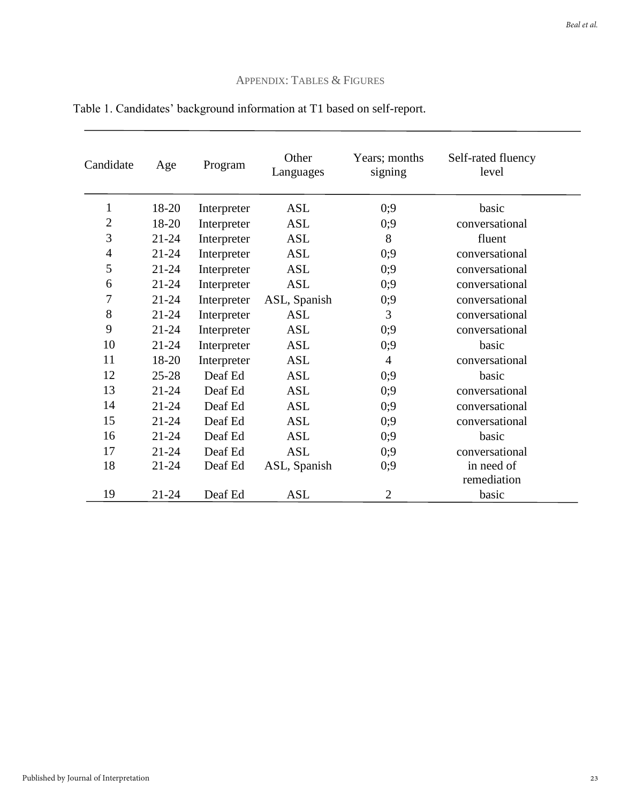### APPENDIX: TABLES & FIGURES

| Candidate      | Age       | Program     | Other<br>Languages | Years; months<br>signing | Self-rated fluency<br>level |
|----------------|-----------|-------------|--------------------|--------------------------|-----------------------------|
| $\mathbf{1}$   | 18-20     | Interpreter | ASL                | 0;9                      | basic                       |
| 2              | 18-20     | Interpreter | <b>ASL</b>         | 0;9                      | conversational              |
| 3              | $21 - 24$ | Interpreter | <b>ASL</b>         | 8                        | fluent                      |
| $\overline{4}$ | $21 - 24$ | Interpreter | <b>ASL</b>         | 0;9                      | conversational              |
| 5              | $21 - 24$ | Interpreter | <b>ASL</b>         | 0:9                      | conversational              |
| 6              | $21 - 24$ | Interpreter | <b>ASL</b>         | 0;9                      | conversational              |
| 7              | $21 - 24$ | Interpreter | ASL, Spanish       | 0;9                      | conversational              |
| 8              | $21 - 24$ | Interpreter | <b>ASL</b>         | 3                        | conversational              |
| 9              | $21 - 24$ | Interpreter | ASL                | 0;9                      | conversational              |
| 10             | $21 - 24$ | Interpreter | <b>ASL</b>         | 0;9                      | basic                       |
| 11             | 18-20     | Interpreter | <b>ASL</b>         | 4                        | conversational              |
| 12             | $25 - 28$ | Deaf Ed     | <b>ASL</b>         | 0;9                      | basic                       |
| 13             | $21 - 24$ | Deaf Ed     | <b>ASL</b>         | 0;9                      | conversational              |
| 14             | $21 - 24$ | Deaf Ed     | <b>ASL</b>         | 0;9                      | conversational              |
| 15             | $21 - 24$ | Deaf Ed     | <b>ASL</b>         | 0;9                      | conversational              |
| 16             | $21 - 24$ | Deaf Ed     | <b>ASL</b>         | 0;9                      | basic                       |
| 17             | $21 - 24$ | Deaf Ed     | <b>ASL</b>         | 0;9                      | conversational              |
| 18             | $21 - 24$ | Deaf Ed     | ASL, Spanish       | 0;9                      | in need of<br>remediation   |
| 19             | $21 - 24$ | Deaf Ed     | <b>ASL</b>         | $\overline{2}$           | basic                       |

## Table 1. Candidates' background information at T1 based on self-report.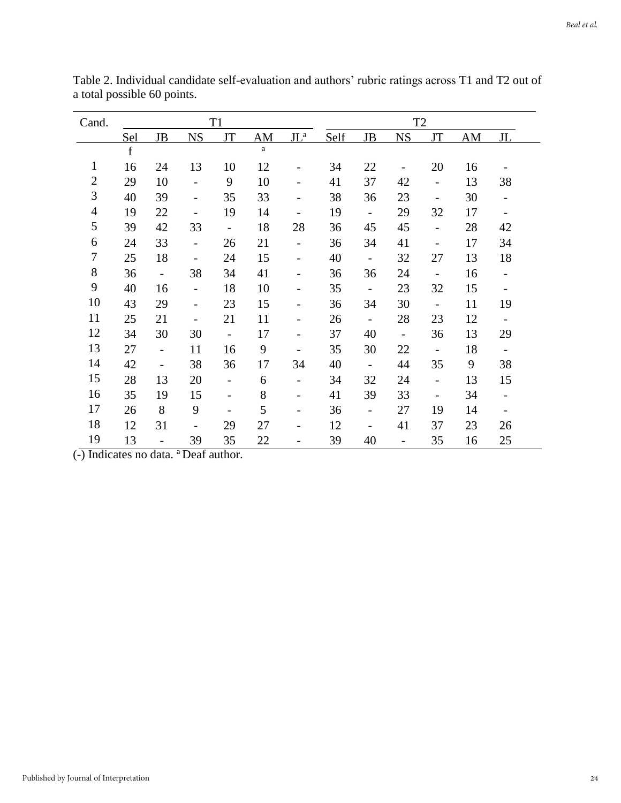| Cand.          |             |                          |                              | T <sub>1</sub>               |              |                          |      |                          | T <sub>2</sub>           |                              |    |                          |
|----------------|-------------|--------------------------|------------------------------|------------------------------|--------------|--------------------------|------|--------------------------|--------------------------|------------------------------|----|--------------------------|
|                | Sel         | JB                       | <b>NS</b>                    | IT                           | AM           | $JL^a$                   | Self | <b>JB</b>                | <b>NS</b>                | <b>JT</b>                    | AM | $\mathbf{H}$             |
|                | $\mathbf f$ |                          |                              |                              | $\mathbf{a}$ |                          |      |                          |                          |                              |    |                          |
| $\mathbf{1}$   | 16          | 24                       | 13                           | 10                           | 12           |                          | 34   | 22                       | $\qquad \qquad -$        | 20                           | 16 |                          |
| $\overline{c}$ | 29          | 10                       | $\overline{\phantom{0}}$     | 9                            | 10           |                          | 41   | 37                       | 42                       | $\blacksquare$               | 13 | 38                       |
| 3              | 40          | 39                       | $\overline{\phantom{a}}$     | 35                           | 33           |                          | 38   | 36                       | 23                       | $\qquad \qquad \blacksquare$ | 30 | $\overline{\phantom{a}}$ |
| $\overline{4}$ | 19          | 22                       | $\qquad \qquad -$            | 19                           | 14           | $\overline{\phantom{a}}$ | 19   | $\Box$                   | 29                       | 32                           | 17 | $\overline{\phantom{a}}$ |
| 5              | 39          | 42                       | 33                           | $\overline{\phantom{a}}$     | 18           | 28                       | 36   | 45                       | 45                       | $\overline{\phantom{0}}$     | 28 | 42                       |
| 6              | 24          | 33                       | $\frac{1}{2}$                | 26                           | 21           | $\overline{\phantom{a}}$ | 36   | 34                       | 41                       | -                            | 17 | 34                       |
| 7              | 25          | 18                       | $\overline{\phantom{a}}$     | 24                           | 15           | $\overline{\phantom{a}}$ | 40   | $\mathbb{Z}^2$           | 32                       | 27                           | 13 | 18                       |
| $8\,$          | 36          | $\blacksquare$           | 38                           | 34                           | 41           |                          | 36   | 36                       | 24                       | $\overline{\phantom{a}}$     | 16 | $\overline{\phantom{0}}$ |
| 9              | 40          | 16                       | $\frac{1}{2}$                | 18                           | 10           |                          | 35   | $\mathbb{L}$             | 23                       | 32                           | 15 | $\qquad \qquad -$        |
| 10             | 43          | 29                       | $\overline{\phantom{a}}$     | 23                           | 15           |                          | 36   | 34                       | 30                       | $\blacksquare$               | 11 | 19                       |
| 11             | 25          | 21                       | $\qquad \qquad \blacksquare$ | 21                           | 11           |                          | 26   | $\blacksquare$           | 28                       | 23                           | 12 | $\overline{\phantom{a}}$ |
| 12             | 34          | 30                       | 30                           | $\frac{1}{2}$                | 17           |                          | 37   | 40                       | $\frac{1}{2}$            | 36                           | 13 | 29                       |
| 13             | 27          | $\overline{\phantom{a}}$ | 11                           | 16                           | 9            |                          | 35   | 30                       | 22                       | $\mathbb{L}^{\mathbb{N}}$    | 18 | $\overline{\phantom{a}}$ |
| 14             | 42          | $\overline{\phantom{a}}$ | 38                           | 36                           | 17           | 34                       | 40   | $\blacksquare$           | 44                       | 35                           | 9  | 38                       |
| 15             | 28          | 13                       | 20                           | $\overline{\phantom{0}}$     | 6            | $\overline{\phantom{a}}$ | 34   | 32                       | 24                       | $\overline{\phantom{a}}$     | 13 | 15                       |
| 16             | 35          | 19                       | 15                           | $\qquad \qquad \blacksquare$ | 8            | $\overline{\phantom{a}}$ | 41   | 39                       | 33                       | $\overline{\phantom{0}}$     | 34 | $\overline{\phantom{0}}$ |
| 17             | 26          | 8                        | 9                            | $\qquad \qquad -$            | 5            |                          | 36   | $\overline{\phantom{0}}$ | 27                       | 19                           | 14 | $\overline{\phantom{a}}$ |
| 18             | 12          | 31                       | $\overline{\phantom{a}}$     | 29                           | 27           |                          | 12   | $\overline{a}$           | 41                       | 37                           | 23 | 26                       |
| 19             | 13          | $\overline{\phantom{a}}$ | 39                           | 35                           | 22           |                          | 39   | 40                       | $\overline{\phantom{0}}$ | 35                           | 16 | 25                       |

Table 2. Individual candidate self-evaluation and authors' rubric ratings across T1 and T2 out of a total possible 60 points.

 $\overline{(-)}$  Indicates no data.  $^{\text{a}}$  Deaf author.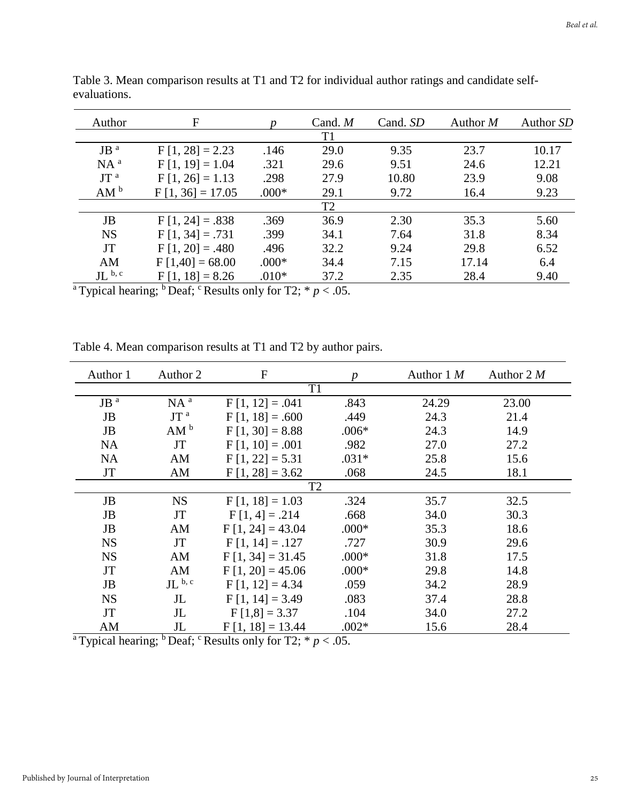| Author                         | F                  |         | Cand. $M$      | Cand. SD | Author $M$ | Author SD |
|--------------------------------|--------------------|---------|----------------|----------|------------|-----------|
|                                |                    |         | T1             |          |            |           |
| $JB$ <sup><math>a</math></sup> | $F[1, 28] = 2.23$  | .146    | 29.0           | 9.35     | 23.7       | 10.17     |
| $NA^a$                         | $F[1, 19] = 1.04$  | .321    | 29.6           | 9.51     | 24.6       | 12.21     |
| JT <sup>a</sup>                | $F[1, 26] = 1.13$  | .298    | 27.9           | 10.80    | 23.9       | 9.08      |
| AM <sup>b</sup>                | $F[1, 36] = 17.05$ | $.000*$ | 29.1           | 9.72     | 16.4       | 9.23      |
|                                |                    |         | T <sub>2</sub> |          |            |           |
| JB                             | $F[1, 24] = .838$  | .369    | 36.9           | 2.30     | 35.3       | 5.60      |
| <b>NS</b>                      | $F[1, 34] = .731$  | .399    | 34.1           | 7.64     | 31.8       | 8.34      |
| <b>JT</b>                      | $F[1, 20] = .480$  | .496    | 32.2           | 9.24     | 29.8       | 6.52      |
| AM                             | $F[1,40] = 68.00$  | $.000*$ | 34.4           | 7.15     | 17.14      | 6.4       |
| $JL^{b, c}$                    | $F[1, 18] = 8.26$  | $.010*$ | 37.2           | 2.35     | 28.4       | 9.40      |

Table 3. Mean comparison results at T1 and T2 for individual author ratings and candidate selfevaluations.

<sup>a</sup>Typical hearing; <sup>b</sup>Deaf; <sup>c</sup>Results only for T2;  $* p < .05$ .

| Author 1                       | Author 2        | $\overline{F}$     | $\boldsymbol{p}$ | Author $1 M$ | Author $2 M$ |  |  |  |
|--------------------------------|-----------------|--------------------|------------------|--------------|--------------|--|--|--|
|                                |                 | $\overline{T1}$    |                  |              |              |  |  |  |
| $JB$ <sup><math>a</math></sup> | NA <sup>a</sup> | $F[1, 12] = .041$  | .843             | 24.29        | 23.00        |  |  |  |
| JB                             | JT <sup>a</sup> | $F[1, 18] = .600$  | .449             | 24.3         | 21.4         |  |  |  |
| <b>JB</b>                      | AM <sup>b</sup> | $F[1, 30] = 8.88$  | $.006*$          | 24.3         | 14.9         |  |  |  |
| <b>NA</b>                      | <b>JT</b>       | $F[1, 10] = .001$  | .982             | 27.0         | 27.2         |  |  |  |
| <b>NA</b>                      | AM              | $F[1, 22] = 5.31$  | $.031*$          | 25.8         | 15.6         |  |  |  |
| <b>JT</b>                      | AM              | $F[1, 28] = 3.62$  | .068             | 24.5         | 18.1         |  |  |  |
|                                | T <sub>2</sub>  |                    |                  |              |              |  |  |  |
| JB                             | <b>NS</b>       | $F[1, 18] = 1.03$  | .324             | 35.7         | 32.5         |  |  |  |
| JB                             | JT              | $F[1, 4] = .214$   | .668             | 34.0         | 30.3         |  |  |  |
| JB                             | AM              | $F[1, 24] = 43.04$ | $.000*$          | 35.3         | 18.6         |  |  |  |
| <b>NS</b>                      | JT              | $F[1, 14] = .127$  | .727             | 30.9         | 29.6         |  |  |  |
| <b>NS</b>                      | AM              | $F[1, 34] = 31.45$ | $.000*$          | 31.8         | 17.5         |  |  |  |
| <b>JT</b>                      | AM              | $F[1, 20] = 45.06$ | $.000*$          | 29.8         | 14.8         |  |  |  |
| <b>JB</b>                      | $JL^{b, c}$     | $F[1, 12] = 4.34$  | .059             | 34.2         | 28.9         |  |  |  |
| <b>NS</b>                      | $J_{\rm L}$     | $F[1, 14] = 3.49$  | .083             | 37.4         | 28.8         |  |  |  |
| <b>JT</b>                      | $J_{\rm L}$     | $F[1,8] = 3.37$    | .104             | 34.0         | 27.2         |  |  |  |
| AM                             | $J_{\rm L}$     | $F[1, 18] = 13.44$ | $.002*$          | 15.6         | 28.4         |  |  |  |

Table 4. Mean comparison results at T1 and T2 by author pairs.

<sup>a</sup>Typical hearing; <sup>b</sup>Deaf; <sup>c</sup>Results only for T2;  $* p < .05$ .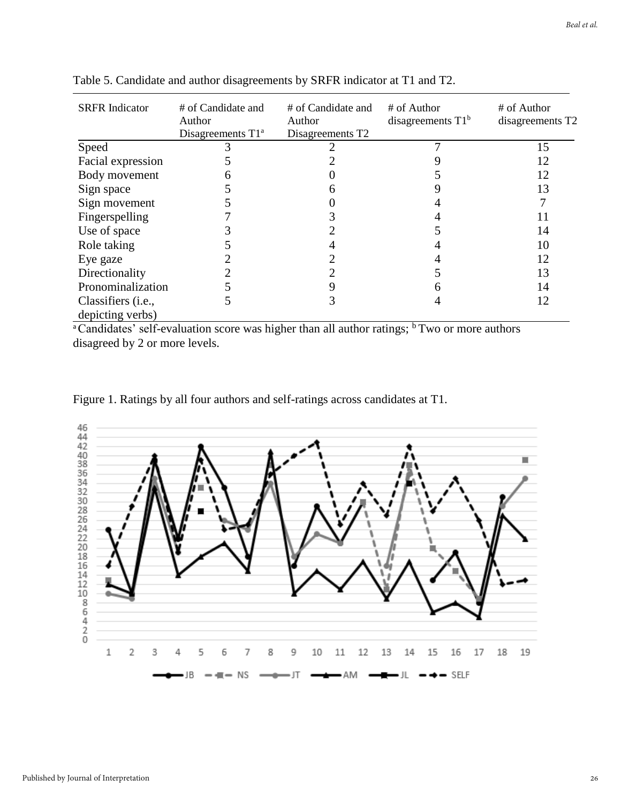| <b>SRFR</b> Indicator       | # of Candidate and<br>Author<br>Disagreements $T1^a$ | # of Candidate and<br>Author<br>Disagreements T2 | # of Author<br>disagreements $T1b$ | # of Author<br>disagreements T2 |
|-----------------------------|------------------------------------------------------|--------------------------------------------------|------------------------------------|---------------------------------|
| Speed                       |                                                      |                                                  |                                    | 15                              |
| Facial expression           |                                                      |                                                  |                                    | 12                              |
| Body movement               |                                                      |                                                  |                                    | 12                              |
| Sign space                  |                                                      |                                                  |                                    | 13                              |
| Sign movement               |                                                      |                                                  |                                    |                                 |
| Fingerspelling              |                                                      |                                                  |                                    | 11                              |
| Use of space                |                                                      |                                                  |                                    | 14                              |
| Role taking                 |                                                      |                                                  |                                    | 10                              |
| Eye gaze                    |                                                      |                                                  |                                    | 12                              |
| Directionality              |                                                      |                                                  |                                    | 13                              |
| Pronominalization           |                                                      |                                                  | n                                  | 14                              |
| Classifiers ( <i>i.e.</i> , |                                                      |                                                  |                                    | 12                              |
| depicting verbs)            |                                                      |                                                  |                                    |                                 |

Table 5. Candidate and author disagreements by SRFR indicator at T1 and T2.

 $\frac{1}{\sqrt{2}}$ <sup>a</sup>Candidates' self-evaluation score was higher than all author ratings; <sup>b</sup> Two or more authors disagreed by 2 or more levels.

Figure 1. Ratings by all four authors and self-ratings across candidates at T1.